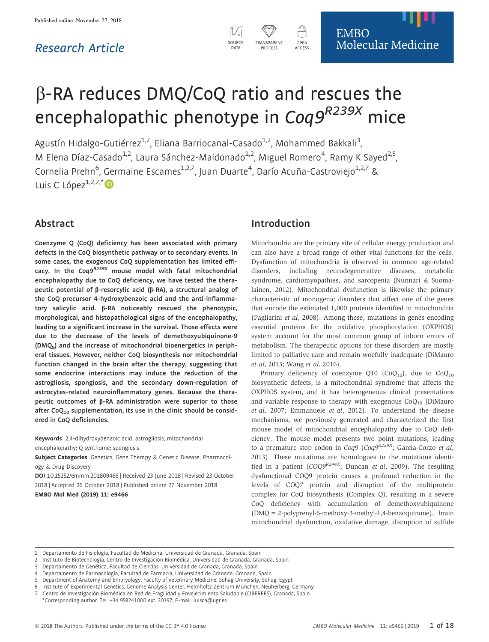# Research Article



# b-RA reduces DMQ/CoQ ratio and rescues the .<br>encephalopathic phenotype in Coq9<sup>R239X</sup> mice

Agustín Hidalgo-Gutiérrez<sup>1,2</sup>, Eliana Barriocanal-Casado<sup>1,2</sup>, Mohammed Bakkali<sup>3</sup> , M Elena Díaz-Casado<sup>1,2</sup>, Laura Sánchez-Maldonado<sup>1,2</sup>, Miguel Romero<sup>4</sup>, Ramy K Sayed<sup>2,5</sup> .<br>, Cornelia Prehn<sup>6</sup>, Germaine Escames<sup>1,2,7</sup>, Juan Duarte<sup>4</sup>, Darío Acuña-Castroviejo<sup>1,2,7</sup> & Luis C López $1,2,7,$ [\\*](http://orcid.org/0000-0003-3355-0298)

# Abstract

Coenzyme Q (CoQ) deficiency has been associated with primary defects in the CoQ biosynthetic pathway or to secondary events. In some cases, the exogenous CoQ supplementation has limited efficacy. In the Coq9<sup>R239X</sup> mouse model with fatal mitochondrial encephalopathy due to CoQ deficiency, we have tested the therapeutic potential of  $\beta$ -resorcylic acid ( $\beta$ -RA), a structural analog of the CoQ precursor 4-hydroxybenzoic acid and the anti-inflammatory salicylic acid.  $\beta$ -RA noticeably rescued the phenotypic, morphological, and histopathological signs of the encephalopathy, leading to a significant increase in the survival. Those effects were due to the decrease of the levels of demethoxyubiquinone-9 (DMQ9) and the increase of mitochondrial bioenergetics in peripheral tissues. However, neither CoQ biosynthesis nor mitochondrial function changed in the brain after the therapy, suggesting that some endocrine interactions may induce the reduction of the astrogliosis, spongiosis, and the secondary down-regulation of astrocytes-related neuroinflammatory genes. Because the therapeutic outcomes of  $\beta$ -RA administration were superior to those after  $CoQ<sub>10</sub>$  supplementation, its use in the clinic should be considered in CoQ deficiencies.

Keywords 2,4-dihydroxybenzoic acid; astrogliosis; mitochondrial encephalopathy; Q synthome; spongiosis

Subject Categories Genetics, Gene Therapy & Genetic Disease; Pharmacology & Drug Discovery

DOI 10.15252/emmm.201809466 | Received 23 June 2018 | Revised 23 October 2018 | Accepted 26 October 2018 | Published online 27 November 2018 EMBO Mol Med (2019) 11: e9466

# Introduction

Mitochondria are the primary site of cellular energy production and can also have a broad range of other vital functions for the cells. Dysfunction of mitochondria is observed in common age-related disorders, including neurodegenerative diseases, metabolic syndrome, cardiomyopathies, and sarcopenia (Nunnari & Suomalainen, 2012). Mitochondrial dysfunction is likewise the primary characteristic of monogenic disorders that affect one of the genes that encode the estimated 1,000 proteins identified in mitochondria (Pagliarini et al, 2008). Among these, mutations in genes encoding essential proteins for the oxidative phosphorylation (OXPHOS) system account for the most common group of inborn errors of metabolism. The therapeutic options for these disorders are mostly limited to palliative care and remain woefully inadequate (DiMauro et al, 2013; Wang et al, 2016).

Primary deficiency of coenzyme Q10 (CoQ<sub>10</sub>), due to CoQ<sub>10</sub> biosynthetic defects, is a mitochondrial syndrome that affects the OXPHOS system, and it has heterogeneous clinical presentations and variable response to therapy with exogenous  $CoQ<sub>10</sub>$  (DiMauro et al, 2007; Emmanuele et al, 2012). To understand the disease mechanisms, we previously generated and characterized the first mouse model of mitochondrial encephalopathy due to CoQ deficiency. The mouse model presents two point mutations, leading to a premature stop codon in Coq9 (Coq9R239X; Garcia-Corzo et al, 2013). These mutations are homologues to the mutations identified in a patient  $(COO9^{R244X}$ ; Duncan *et al*, 2009). The resulting dysfunctional COQ9 protein causes a profound reduction in the levels of COQ7 protein and disruption of the multiprotein complex for CoQ biosynthesis (Complex Q), resulting in a severe CoQ deficiency with accumulation of demethoxyubiquinone (DMQ = 2-polyprenyl-6-methoxy-3-methyl-1,4-benzoquinone), brain mitochondrial dysfunction, oxidative damage, disruption of sulfide

5 Department of Anatomy and Embryology, Faculty of Veterinary Medicine, Sohag University, Sohag, Egypt

<sup>1</sup> Departamento de Fisiología, Facultad de Medicina, Universidad de Granada, Granada, Spain

<sup>2</sup> Instituto de Biotecnología, Centro de Investigación Biomédica, Universidad de Granada, Granada, Spain

Departamento de Genética, Facultad de Ciencias, Universidad de Granada, Granada, Spain

<sup>4</sup> Departamento de Farmacología, Facultad de Farmacia, Universidad de Granada, Granada, Spain

<sup>6</sup> Institute of Experimental Genetics, Genome Analysis Center, Helmholtz Zentrum München, Neuherberg, Germany

<sup>7</sup> Centro de Investigación Biomédica en Red de Fragilidad y Envejecimiento Saludable (CIBERFES), Granada, Spain \*Corresponding author. Tel: +34 958241000 ext. 20197; E-mail: luisca@ugr.es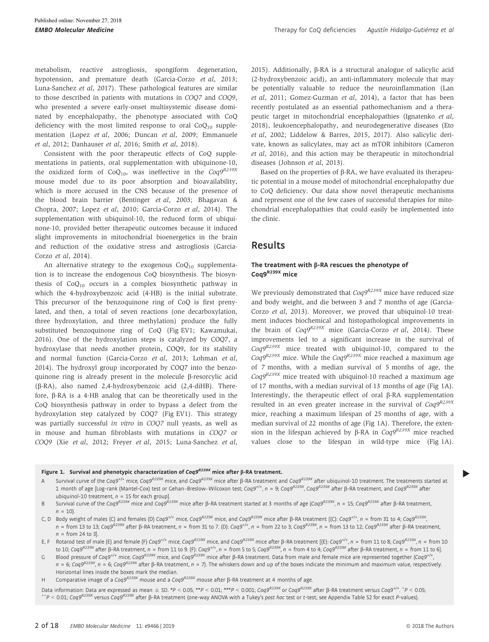metabolism, reactive astrogliosis, spongiform degeneration, hypotension, and premature death (Garcia-Corzo et al, 2013; Luna-Sanchez et al, 2017). These pathological features are similar to those described in patients with mutations in COQ7 and COQ9, who presented a severe early-onset multisystemic disease dominated by encephalopathy, the phenotype associated with CoQ deficiency with the most limited response to oral  $CoQ_{10}$  supplementation (Lopez et al, 2006; Duncan et al, 2009; Emmanuele et al, 2012; Danhauser et al, 2016; Smith et al, 2018).

Consistent with the poor therapeutic effects of CoQ supplementations in patients, oral supplementation with ubiquinone-10, the oxidized form of  $CoQ_{10}$ , was ineffective in the  $Coq9^{R239X}$ mouse model due to its poor absorption and bioavailability, which is more accused in the CNS because of the presence of the blood brain barrier (Bentinger et al, 2003; Bhagavan & Chopra, 2007; Lopez et al, 2010; Garcia-Corzo et al, 2014). The supplementation with ubiquinol-10, the reduced form of ubiquinone-10, provided better therapeutic outcomes because it induced slight improvements in mitochondrial bioenergetics in the brain and reduction of the oxidative stress and astrogliosis (Garcia-Corzo et al, 2014).

An alternative strategy to the exogenous  $CoQ_{10}$  supplementation is to increase the endogenous CoQ biosynthesis. The biosynthesis of  $CoQ<sub>10</sub>$  occurs in a complex biosynthetic pathway in which the 4-hydroxybenzoic acid (4-HB) is the initial substrate. This precursor of the benzoquinone ring of CoQ is first prenylated, and then, a total of seven reactions (one decarboxylation, three hydroxylation, and three methylation) produce the fully substituted benzoquinone ring of CoQ (Fig EV1; Kawamukai, 2016). One of the hydroxylation steps is catalyzed by COQ7, a hydroxylase that needs another protein, COQ9, for its stability and normal function (Garcia-Corzo et al, 2013; Lohman et al, 2014). The hydroxyl group incorporated by COQ7 into the benzoquinone ring is already present in the molecule  $\beta$ -resorcylic acid (b-RA), also named 2,4-hydroxybenzoic acid (2,4-diHB). Therefore,  $\beta$ -RA is a 4-HB analog that can be theoretically used in the CoQ biosynthesis pathway in order to bypass a defect from the hydroxylation step catalyzed by COQ7 (Fig EV1). This strategy was partially successful in vitro in COQ7 null yeasts, as well as in mouse and human fibroblasts with mutations in COQ7 or COQ9 (Xie et al, 2012; Freyer et al, 2015; Luna-Sanchez et al, 2015). Additionally,  $\beta$ -RA is a structural analogue of salicylic acid (2-hydroxybenzoic acid), an anti-inflammatory molecule that may be potentially valuable to reduce the neuroinflammation (Lan et al, 2011; Gomez-Guzman et al, 2014), a factor that has been recently postulated as an essential pathomechanism and a therapeutic target in mitochondrial encephalopathies (Ignatenko et al, 2018), leukoencephalopathy, and neurodegenerative diseases (Eto et al, 2002; Liddelow & Barres, 2015, 2017). Also salicylic derivate, known as salicylates, may act as mTOR inhibitors (Cameron et al, 2016), and this action may be therapeutic in mitochondrial diseases (Johnson et al, 2013).

Based on the properties of  $\beta$ -RA, we have evaluated its therapeutic potential in a mouse model of mitochondrial encephalopathy due to CoQ deficiency. Our data show novel therapeutic mechanisms and represent one of the few cases of successful therapies for mitochondrial encephalopathies that could easily be implemented into the clinic.

# Results

#### The treatment with  $\beta$ -RA rescues the phenotype of Coq9<sup>R239X</sup> mice

We previously demonstrated that  $Coq9^{R239X}$  mice have reduced size and body weight, and die between 3 and 7 months of age (Garcia-Corzo et al, 2013). Moreover, we proved that ubiquinol-10 treatment induces biochemical and histopathological improvements in the brain of  $Cog9^{R239X}$  mice (Garcia-Corzo et al, 2014). These improvements led to a significant increase in the survival of  $Cog<sup>R239X</sup>$  mice treated with ubiquinol-10, compared to the  $Cog 9^{R239X}$  mice. While the  $Cog 9^{R239X}$  mice reached a maximum age of 7 months, with a median survival of 5 months of age, the  $Coq9^{R239X}$  mice treated with ubiquinol-10 reached a maximum age of 17 months, with a median survival of 13 months of age (Fig 1A). Interestingly, the therapeutic effect of oral  $\beta$ -RA supplementation resulted in an even greater increase in the survival of  $Cog9^{R239X}$ mice, reaching a maximum lifespan of 25 months of age, with a median survival of 22 months of age (Fig 1A). Therefore, the extension in the lifespan achieved by  $\beta$ -RA in  $Cog9^{R239X}$  mice reached values close to the lifespan in wild-type mice (Fig 1A).

#### Figure 1. Survival and phenotypic characterization of Coq9<sup>R239X</sup> mice after β-RA treatment.

- A Survival curve of the Coq9<sup>+/+</sup> mice, Coq9<sup>R239X</sup> mice, and Coq9<sup>R239X</sup> mice after  $\beta$ -RA treatment and Coq9<sup>R239X</sup> after ubiquinol-10 treatment. The treatments started at  $1$  month of age [Log-rank (Mantel-Cox) test or Gehan–Breslow–Wilcoxon test; Coq9<sup>+/+</sup>,  $n=9$ ; Coq9<sup>R239X</sup>, Coq9<sup>R239X</sup> after β-RA treatment, and Coq9<sup>R239X</sup> after ubiquinol-10 treatment,  $n = 15$  for each group].
- B Survival curve of the Coq9<sup>R239X</sup> mice and Coq9<sup>R239X</sup> mice after  $\beta$ -RA treatment started at 3 months of age (Coq9R<sup>239X</sup>, n = 15; Coq9R<sup>239X</sup> after  $\beta$ -RA treatment,  $n = 10$ ).
- C, D Body weight of males (C) and females (D)  $Cog9^{k/4}$  mice,  $Cog9^{R239X}$  mice, and  $Cog9^{R239X}$  mice after  $\beta$ -RA treatment [(C):  $Cog9^{t/4}$ ,  $n =$  from 31 to 4;  $Cog9^{R239X}$ n = from 13 to 13; Coq9<sup>R239X</sup> after β-RA treatment, n = from 31 to 7. (D): Coq9\*<sup>i+</sup>, n = from 22 to 3; Coq9<sup>R239X</sup>, n = from 13 to 12; Coq9<sup>R239X</sup> after β-RA treatment  $n =$  from 24 to 3].
- E, F Rotarod test of male (E) and female (F) Coq9<sup>+/+</sup> mice, Coq9<sup>R239X</sup> mice, and Coq9<sup>R239X</sup> mice after  $\beta$ -RA treatment [(E): Coq9<sup>+/+</sup>, n = from 11 to 8; Coq9<sup>R239X</sup>, n = from 10 to 10; Coq9<sup>R239X</sup> after β-RA treatment,  $n=$  from 11 to 9. (F): Coq9<sup>+/+</sup>,  $n=$  from 5 to 5; Coq9<sup>R239X</sup>,  $n=$  from 4 to 4; Coq9<sup>R239X</sup> after β-RA treatment,  $n=$  from 11 to 6].

G Blood pressure of Coq9<sup>+/+</sup> mice, Coq9<sup>R239X</sup> mice, and Coq9<sup>R239X</sup> mice after  $\beta$ -RA treatment. Data from male and female mice are represented together (Coq9<sup>+/+</sup> ,  $n = 6$ ; Coq9<sup>R239X</sup>, n = 6; Coq9<sup>R239X</sup> after ß-RA treatment, n = 7). The whiskers down and up of the boxes indicate the minimum and maximum value, respectively. Horizontal lines inside the boxes mark the median.

H Comparative image of a Coq9<sup>R239X</sup> mouse and a Coq9<sup>R239X</sup> mouse after β-RA treatment at 4 months of age.

Data information: Data are expressed as mean  $\pm$  SD. \*P < 0.05; \*\*P < 0.01; \*\*\*P < 0.001; Coq9<sup>R239X</sup> or Coq9<sup>R239X</sup> after  $\beta$ -RA treatment versus Coq9<sup>+/+</sup>. <sup>+</sup>P < 0.05; .  $^{++}$ P < 0.01; Coq9<sup>R239X</sup> versus Coq9<sup>R239X</sup> after ß-RA treatment (one-way ANOVA with a Tukey's *post hoc* test or t-test; see Appendix Table S2 for exact P-values).

▸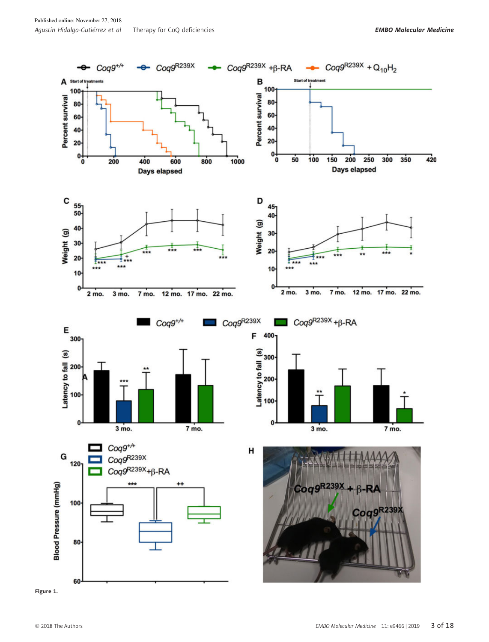

Figure 1.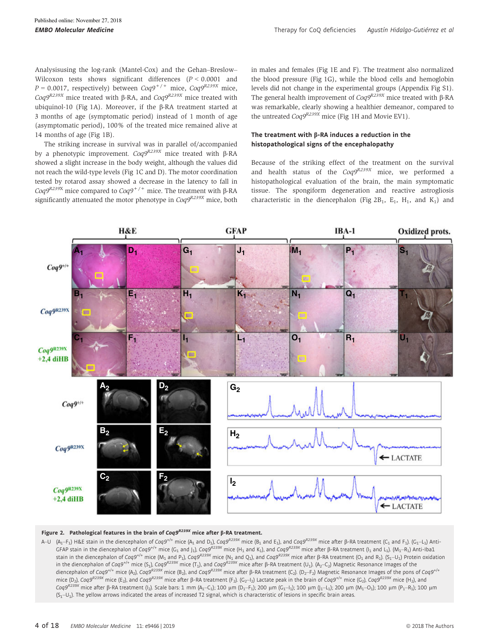Analysisusing the log-rank (Mantel-Cox) and the Gehan–Breslow– Wilcoxon tests shows significant differences  $(P < 0.0001$  and  $P = 0.0017$ , respectively) between  $Cog9^{+/+}$  mice,  $Cog9^{R239X}$  mice,  $Cog9^{R239X}$  mice treated with  $\beta$ -RA, and  $Cog9^{R239X}$  mice treated with ubiquinol-10 (Fig 1A). Moreover, if the  $\beta$ -RA treatment started at 3 months of age (symptomatic period) instead of 1 month of age (asymptomatic period), 100% of the treated mice remained alive at 14 months of age (Fig 1B).

The striking increase in survival was in parallel of/accompanied by a phenotypic improvement.  $Coq9^{R239X}$  mice treated with B-RA showed a slight increase in the body weight, although the values did not reach the wild-type levels (Fig 1C and D). The motor coordination tested by rotarod assay showed a decrease in the latency to fall in  $Cog<sup>9R239X</sup>$  mice compared to  $Cog<sup>9+/+</sup>$  mice. The treatment with  $\beta$ -RA significantly attenuated the motor phenotype in  $Cog<sup>R239X</sup>$  mice, both in males and females (Fig 1E and F). The treatment also normalized the blood pressure (Fig 1G), while the blood cells and hemoglobin levels did not change in the experimental groups (Appendix Fig S1). The general health improvement of  $Cog9^{R239X}$  mice treated with  $\beta$ -RA was remarkable, clearly showing a healthier demeanor, compared to the untreated  $Coq9^{R239X}$  mice (Fig 1H and Movie EV1).

#### The treatment with  $\beta$ -RA induces a reduction in the histopathological signs of the encephalopathy

Because of the striking effect of the treatment on the survival and health status of the  $Cog9^{R239X}$  mice, we performed a histopathological evaluation of the brain, the main symptomatic tissue. The spongiform degeneration and reactive astrogliosis characteristic in the diencephalon (Fig  $2B_1$ ,  $E_1$ ,  $H_1$ , and  $K_1$ ) and



#### Figure 2. Pathological features in the brain of Coq9<sup>R239X</sup> mice after  $\beta$ -RA treatment.

A–U  $(A_1-F_1)$  H&E stain in the diencephalon of Cog9<sup>+/+</sup> mice (A<sub>1</sub> and D<sub>1</sub>), Cog9<sup>R239X</sup> mice (B<sub>1</sub> and E<sub>1</sub>), and Cog9<sup>R239X</sup> mice after ß-RA treatment (C<sub>1</sub> and F<sub>1</sub>). (G<sub>1</sub>–L<sub>1</sub>) Anti-GFAP stain in the diencephalon of Coq9<sup>+/+</sup> mice (G<sub>1</sub> and J<sub>1</sub>), Coq9<sup>R239X</sup> mice (H<sub>1</sub> and K<sub>1</sub>), and Coq9<sup>R239X</sup> mice after B-RA treatment (I<sub>1</sub> and L<sub>1</sub>). (M<sub>1</sub>-R<sub>1</sub>) Anti-Iba1 stain in the diencephalon of Coq9<sup>+/+</sup> mice (M<sub>1</sub> and P<sub>1</sub>), Coq9<sup>R239X</sup> mice (N<sub>1</sub> and Q<sub>1</sub>), and Coq9<sup>R239X</sup> mice after ß-RA treatment (O<sub>1</sub> and R<sub>1</sub>). (S<sub>1</sub>–U<sub>1</sub>) Protein oxidation in the diencephalon of Coq9<sup>+/+</sup> mice (S<sub>1</sub>), Coq9<sup>R239X</sup> mice (T<sub>1</sub>), and Coq9<sup>R239X</sup> mice after β-RA treatment (U<sub>1</sub>). (A<sub>2</sub>–C<sub>2</sub>) Magnetic Resonance Images of the diencephalon of Coq9<sup>+/+</sup> mice (A<sub>2</sub>), Coq9<sup>R239X</sup> mice (B<sub>2</sub>), and Coq9<sup>R239X</sup> mice after ß-RA treatment (C<sub>2</sub>). (D<sub>2</sub>-F<sub>2</sub>) Magnetic Resonance Images of the pons of Coq9<sup>+/+</sup> mice (D<sub>2</sub>), Coq9<sup>R239X</sup> mice (E<sub>2</sub>), and Coq9<sup>R239X</sup> mice after B-RA treatment (F<sub>2</sub>). (C<sub>2</sub>-1<sub>2</sub>) Lactate peak in the brain of Coq9<sup>4++</sup> mice (G<sub>2</sub>), Coq9<sup>R239X</sup> mice (H<sub>2</sub>), and Coq9<sup>R239X</sup> mice after β-RA treatment (I<sub>2</sub>). Scale bars: 1 mm (A<sub>1</sub>–C<sub>1</sub>); 100 μm (D<sub>1</sub>–F<sub>1</sub>); 200 μm (G<sub>1</sub>–I<sub>1</sub>); 100 μm (J<sub>1</sub>–L<sub>1</sub>); 200 μm (M<sub>1</sub>–O<sub>1</sub>); 100 μm (P<sub>1</sub>–R<sub>1</sub>); 100 μm  $(S_1-U_1)$ . The yellow arrows indicated the areas of increased T2 signal, which is characteristic of lesions in specific brain areas.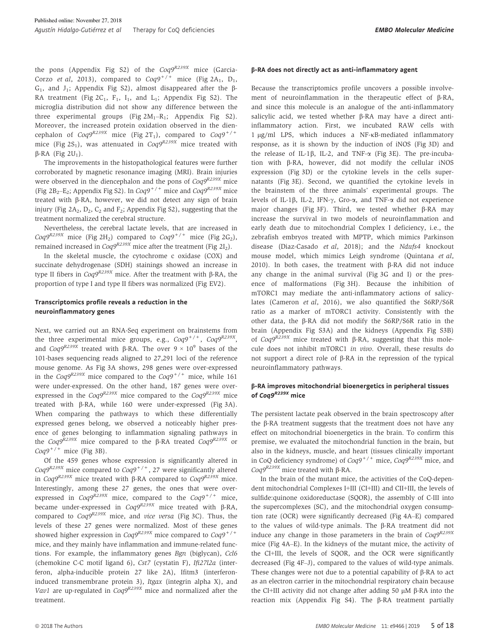the pons (Appendix Fig S2) of the  $Cog9^{R239X}$  mice (Garcia-Corzo *et al.* 2013), compared to  $Coa9^{+/+}$  mice (Fig 2A<sub>1</sub>, D<sub>1</sub>,  $G_1$ , and  $J_1$ ; Appendix Fig S2), almost disappeared after the  $\beta$ -RA treatment (Fig  $2C_1$ , F<sub>1</sub>, I<sub>1</sub>, and L<sub>1</sub>; Appendix Fig S2). The microglia distribution did not show any difference between the three experimental groups (Fig  $2M_1-R_1$ ; Appendix Fig S2). Moreover, the increased protein oxidation observed in the diencephalon of  $Cog9^{R239X}$  mice (Fig 2T<sub>1</sub>), compared to  $Cog9^{+/+}$ mice (Fig 2S<sub>1</sub>), was attenuated in  $Cog9^{R239X}$  mice treated with  $\beta$ -RA (Fig 2U<sub>1</sub>).

The improvements in the histopathological features were further corroborated by magnetic resonance imaging (MRI). Brain injuries were observed in the diencephalon and the pons of  $Cog 9^{R239X}$  mice (Fig 2B<sub>2</sub>–E<sub>2</sub>; Appendix Fig S2). In Coq9<sup>+/+</sup> mice and Coq9<sup>R239X</sup> mice treated with  $\beta$ -RA, however, we did not detect any sign of brain injury (Fig 2A<sub>2</sub>, D<sub>2</sub>, C<sub>2</sub> and F<sub>2</sub>; Appendix Fig S2), suggesting that the treatment normalized the cerebral structure.

Nevertheless, the cerebral lactate levels, that are increased in  $Cog<sup>R239X</sup>$  mice (Fig 2H<sub>2</sub>) compared to  $Cog<sup>9+/+</sup>$  mice (Fig 2G<sub>2</sub>), remained increased in  $Cog<sup>BR239X</sup>$  mice after the treatment (Fig 2I<sub>2</sub>).

In the skeletal muscle, the cytochrome c oxidase (COX) and succinate dehydrogenase (SDH) stainings showed an increase in type II fibers in  $Cog9^{R239X}$  mice. After the treatment with  $\beta$ -RA, the proportion of type I and type II fibers was normalized (Fig EV2).

#### Transcriptomics profile reveals a reduction in the neuroinflammatory genes

Next, we carried out an RNA-Seq experiment on brainstems from the three experimental mice groups, e.g.,  $Cog9^{+/+}$ ,  $Cog9^{R239X}$ , and  $Cog<sup>gR239X</sup>$  treated with  $\beta$ -RA. The over  $9 \times 10^9$  bases of the 101-bases sequencing reads aligned to 27,291 loci of the reference mouse genome. As Fig 3A shows, 298 genes were over-expressed in the Coq9<sup>R239X</sup> mice compared to the Coq9<sup>+/+</sup> mice, while 161 were under-expressed. On the other hand, 187 genes were overexpressed in the Coq9R239X mice compared to the Coq9R239X mice treated with b-RA, while 160 were under-expressed (Fig 3A). When comparing the pathways to which these differentially expressed genes belong, we observed a noticeably higher presence of genes belonging to inflammation signaling pathways in the Coq9<sup>R239X</sup> mice compared to the  $\beta$ -RA treated Coq9<sup>R239X</sup> or  $Cog9^{+/+}$  mice (Fig 3B).

Of the 459 genes whose expression is significantly altered in  $Cog 9^{R239X}$  mice compared to  $Cog 9^{+/+}$ , 27 were significantly altered in  $Cog9^{R239X}$  mice treated with  $\beta$ -RA compared to  $Cog9^{R239X}$  mice. Interestingly, among these 27 genes, the ones that were overexpressed in  $Cog9^{R239X}$  mice, compared to the  $Cog9^{+/+}$  mice, became under-expressed in  $Cog<sup>R239X</sup>$  mice treated with  $\beta$ -RA, compared to  $Cog9^{R239X}$  mice, and vice versa (Fig 3C). Thus, the levels of these 27 genes were normalized. Most of these genes showed higher expression in  $Cog<sup>R239X</sup>$  mice compared to  $Cog<sup>+</sup>$ <sup>++</sup> mice, and they mainly have inflammation and immune-related functions. For example, the inflammatory genes Bgn (biglycan), Ccl6 (chemokine C-C motif ligand 6), Cst7 (cystatin F), Ifi27l2a (interferon, alpha-inducible protein 27 like 2A), Ifitm3 (interferoninduced transmembrane protein 3), Itgax (integrin alpha X), and Vav1 are up-regulated in  $Cog9^{R239X}$  mice and normalized after the treatment.

#### b-RA does not directly act as anti-inflammatory agent

Because the transcriptomics profile uncovers a possible involvement of neuroinflammation in the therapeutic effect of  $\beta$ -RA, and since this molecule is an analogue of the anti-inflammatory salicylic acid, we tested whether  $\beta$ -RA may have a direct antiinflammatory action. First, we incubated RAW cells with 1 µg/ml LPS, which induces a NF-KB-mediated inflammatory response, as it is shown by the induction of iNOS (Fig 3D) and the release of IL-1 $\beta$ , IL-2, and TNF- $\alpha$  (Fig 3E). The pre-incubation with b-RA, however, did not modify the cellular iNOS expression (Fig 3D) or the cytokine levels in the cells supernatants (Fig 3E). Second, we quantified the cytokine levels in the brainstem of the three animals' experimental groups. The levels of IL-1 $\beta$ , IL-2, IFN- $\gamma$ , Gro- $\alpha$ , and TNF- $\alpha$  did not experience major changes (Fig 3F). Third, we tested whether  $\beta$ -RA may increase the survival in two models of neuroinflammation and early death due to mitochondrial Complex I deficiency, i.e., the zebrafish embryos treated with MPTP, which mimics Parkinson disease (Diaz-Casado et al, 2018); and the Ndufs4 knockout mouse model, which mimics Leigh syndrome (Quintana et al, 2010). In both cases, the treatment with  $\beta$ -RA did not induce any change in the animal survival (Fig 3G and I) or the presence of malformations (Fig 3H). Because the inhibition of mTORC1 may mediate the anti-inflammatory actions of salicylates (Cameron et al, 2016), we also quantified the S6RP/S6R ratio as a marker of mTORC1 activity. Consistently with the other data, the b-RA did not modify the S6RP/S6R ratio in the brain (Appendix Fig S3A) and the kidneys (Appendix Fig S3B) of  $Cog<sup>9R239X</sup>$  mice treated with  $\beta$ -RA, suggesting that this molecule does not inhibit mTORC1 in vivo. Overall, these results do not support a direct role of  $\beta$ -RA in the repression of the typical neuroinflammatory pathways.

#### b-RA improves mitochondrial bioenergetics in peripheral tissues of Coq9<sup>R239X</sup> mice

The persistent lactate peak observed in the brain spectroscopy after the  $\beta$ -RA treatment suggests that the treatment does not have any effect on mitochondrial bioenergetics in the brain. To confirm this premise, we evaluated the mitochondrial function in the brain, but also in the kidneys, muscle, and heart (tissues clinically important in CoQ deficiency syndrome) of  $Cog9^{+/+}$  mice,  $Cog9^{R239X}$  mice, and  $Cog9^{R239X}$  mice treated with  $\beta$ -RA.

In the brain of the mutant mice, the activities of the CoQ-dependent mitochondrial Complexes I+III (CI+III) and CII+III, the levels of sulfide:quinone oxidoreductase (SQOR), the assembly of C-III into the supercomplexes (SC), and the mitochondrial oxygen consumption rate (OCR) were significantly decreased (Fig 4A–E) compared to the values of wild-type animals. The  $\beta$ -RA treatment did not induce any change in those parameters in the brain of  $Cog9^{R239X}$ mice (Fig 4A–E). In the kidneys of the mutant mice, the activity of the CI+III, the levels of SQOR, and the OCR were significantly decreased (Fig 4F–J), compared to the values of wild-type animals. These changes were not due to a potential capability of  $\beta$ -RA to act as an electron carrier in the mitochondrial respiratory chain because the CI+III activity did not change after adding  $50 \mu M$   $\beta$ -RA into the reaction mix (Appendix Fig S4). The  $\beta$ -RA treatment partially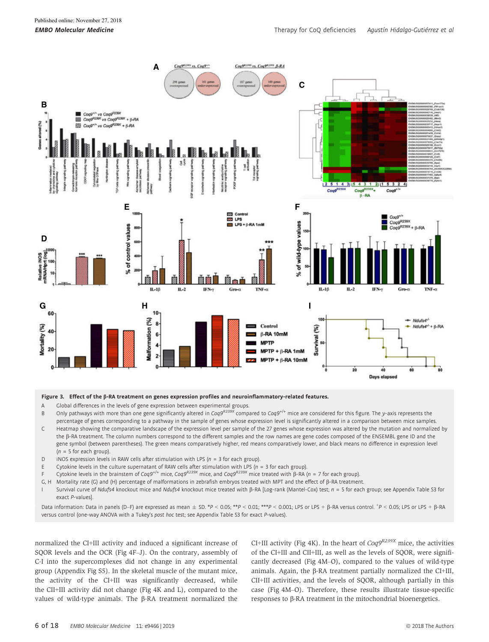

#### Figure 3. Effect of the  $\beta$ -RA treatment on genes expression profiles and neuroinflammatory-related features.

A Global differences in the levels of gene expression between experimental groups.

B Only pathways with more than one gene significantly altered in Coq9<sup>R239X</sup> compared to Coq9<sup>+/+</sup> mice are considered for this figure. The y-axis represents the percentage of genes corresponding to a pathway in the sample of genes whose expression level is significantly altered in a comparison between mice samples. C Heatmap showing the comparative landscape of the expression level per sample of the 27 genes whose expression was altered by the mutation and normalized by the b-RA treatment. The column numbers correspond to the different samples and the row names are gene codes composed of the ENSEMBL gene ID and the gene symbol (between parentheses). The green means comparatively higher, red means comparatively lower, and black means no difference in expression level  $(n = 5$  for each group).

- D iNOS expression levels in RAW cells after stimulation with LPS ( $n = 3$  for each group).
- E Cytokine levels in the culture supernatant of RAW cells after stimulation with LPS ( $n = 3$  for each group).
- F Cytokine levels in the brainstem of Coq9<sup>+/+</sup> mice, Coq9<sup>R239X</sup> mice, and Coq9<sup>R239X</sup> mice treated with  $\beta$ -RA (n = 7 for each group).
- G, H Mortality rate (G) and (H) percentage of malformations in zebrafish embryos treated with MPT and the effect of b-RA treatment.

Survival curve of Ndufs4 knockout mice and Ndufs4 knockout mice treated with  $\beta$ -RA [Log-rank (Mantel-Cox) test; n = 5 for each group; see Appendix Table S3 for exact P-values].

Data information: Data in panels (D–F) are expressed as mean  $\pm$  SD. \*P < 0.05; \*\*P < 0.01; \*\*\*P < 0.001; LPS or LPS +  $\beta$ -RA versus control.  $\pm$ P < 0.05; LPS or LPS +  $\beta$ -RA versus control (one-way ANOVA with a Tukey's post hoc test; see Appendix Table S3 for exact P-values).

normalized the CI+III activity and induced a significant increase of SQOR levels and the OCR (Fig 4F–J). On the contrary, assembly of C-I into the supercomplexes did not change in any experimental group (Appendix Fig S5). In the skeletal muscle of the mutant mice, the activity of the CI+III was significantly decreased, while the CII+III activity did not change (Fig 4K and L), compared to the values of wild-type animals. The  $\beta$ -RA treatment normalized the CI+III activity (Fig 4K). In the heart of  $Cog9^{R239X}$  mice, the activities of the CI+III and CII+III, as well as the levels of SQOR, were significantly decreased (Fig 4M–O), compared to the values of wild-type animals. Again, the  $\beta$ -RA treatment partially normalized the CI+III, CII+III activities, and the levels of SQOR, although partially in this case (Fig 4M–O). Therefore, these results illustrate tissue-specific responses to  $\beta$ -RA treatment in the mitochondrial bioenergetics.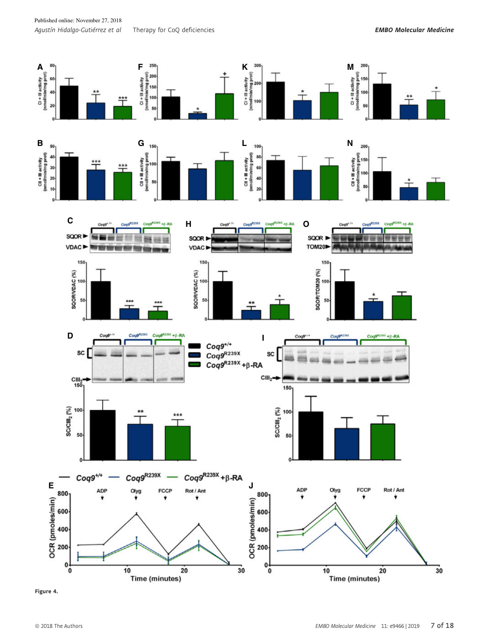

Figure 4.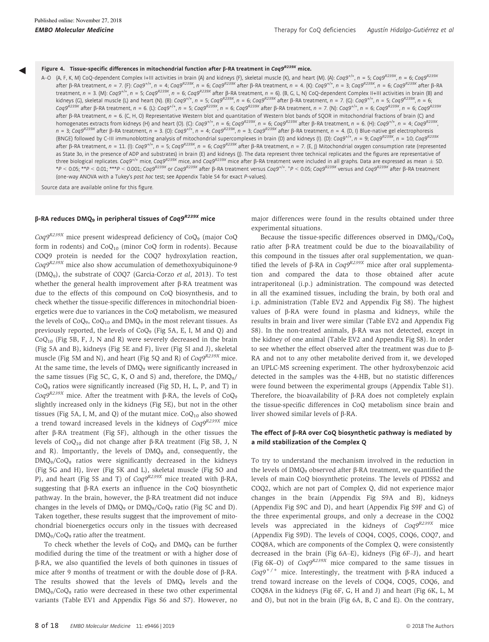◀

#### Figure 4. Tissue-specific differences in mitochondrial function after  $\beta$ -RA treatment in Coq9<sup>R239X</sup> mice.

A–O (A, F, K, M) CoQ-dependent Complex I+III activities in brain (A) and kidneys (F), skeletal muscle (K), and heart (M). (A): Coq9<sup>4++</sup>, n = 5; Coq9<sup>R239X</sup>, n = 6; Coq9<sup>R239X</sup> after ß-RA treatment,  $n = 7$ . (F): Coq9<sup>+/+</sup>,  $n = 4$ ; Coq9<sup>R239X</sup>,  $n = 6$ ; Coq9<sup>R239X</sup> after β-RA treatment,  $n = 4$ . (K): Coq9<sup>H++</sup>,  $n = 3$ ; Coq9<sup>R239X</sup>,  $n = 6$ ; Coq9<sup>R239X</sup> after β-RA treatment,  $n = 3$ . (M): Coq9<sup>+/+</sup>,  $n = 5$ ; Coq9<sup>R239X</sup>,  $n = 6$ ; Coq9<sup>R239X</sup> after  $\beta$ -RA treatment,  $n = 6$ ). (B, G, L, N) CoQ-dependent Complex II+III activities in brain (B) and kidneys (G), skeletal muscle (L) and heart (N). (B): Coq9<sup>+/+</sup>, n = 5; Coq9<sup>R239X</sup>, n = 6; Coq9<sup>R239X</sup> after β-RA treatment, n = 7. (G): Coq9<sup>+/+</sup>, n = 5; Coq9<sup>R239X</sup>, n = 6; Coq9<sup>R239X</sup> after β-RA treatment, n = 6. (L): Coq9<sup>R+/+</sup>, n = 5; Coq9<sup>R239X</sup>, n = 6; Coq9<sup>R239X</sup> after β-RA treatment, n = 7. (N): Coq9<sup>+/+</sup>, n = 6; Coq9<sup>R239X</sup>, n = 6; Coq9<sup>R239X</sup> after ß-RA treatment, n = 6. (C, H, O) Representative Western blot and quantitation of Western blot bands of SQOR in mitochondrial fractions of brain (C) and homogenates extracts from kidneys (H) and heart (O). (C): Coq9<sup>+/+</sup>, n = 6; Coq9<sup>R239X</sup>, n = 6; Coq9<sup>R239X</sup> after β-RA treatment, n = 6. (H): Coq9<sup>R+1</sup>, n = 4; Coq9<sup>R239X</sup> , n = 3; Coq9<sup>R239X</sup> after β-RA treatment, n = 3. (O): Coq9<sup>+/+</sup>, n = 4; Coq9<sup>R239X</sup>, n = 3; Coq9<sup>R239X</sup> after β-RA treatment, n = 4. (D, l) Blue-native gel electrophoresis (BNGE) followed by C-III immunoblotting analysis of mitochondrial supercomplexes in brain (D) and kidneys (I). (D): Coq9<sup>+/+</sup>, n = 9; Coq9<sup>R239X</sup>, n = 10; Coq9<sup>R239X</sup> after ß-RA treatment,  $n = 11$ . (I): Cog9<sup>+/+</sup>,  $n = 5$ ; Cog9<sup>R239X</sup>,  $n = 6$ ; Cog9<sup>R239X</sup> after ß-RA treatment,  $n = 7$ . (E, J) Mitochondrial oxygen consumption rate (represented as State 3o, in the presence of ADP and substrates) in brain (E) and kidneys (J). The data represent three technical replicates and the figures are representative of three biological replicates. Coq9<sup>+/+</sup> mice, Coq9<sup>R239X</sup> mice, and Coq9<sup>R239X</sup> mice after ß-RA treatment were included in all graphs. Data are expressed as mean  $\pm$  SD. \*P < 0.05; \*\*P < 0.01; \*\*\*P < 0.001; Coq9<sup>R239X</sup> or Coq9<sup>R239X</sup> after β-RA treatment versus Coq9<sup>+/+</sup>. \*P < 0.05; Coq9<sup>R239X</sup> versus and Coq9<sup>R239X</sup> after β-RA treatment . (one-way ANOVA with a Tukey's post hoc test; see Appendix Table S4 for exact P-values).

Source data are available online for this figure.

### β-RA reduces DMQ<sub>9</sub> in peripheral tissues of Coq9<sup>R239X</sup> mice

 $Coq9^{R239X}$  mice present widespread deficiency of CoQ<sub>9</sub> (major CoQ form in rodents) and  $CoQ_{10}$  (minor  $CoQ$  form in rodents). Because COQ9 protein is needed for the COQ7 hydroxylation reaction,  $Cog9R239X$  mice also show accumulation of demethoxyubiquinone-9 (DMQ9), the substrate of COQ7 (Garcia-Corzo et al, 2013). To test whether the general health improvement after  $\beta$ -RA treatment was due to the effects of this compound on CoQ biosynthesis, and to check whether the tissue-specific differences in mitochondrial bioenergetics were due to variances in the CoQ metabolism, we measured the levels of  $CoQ_9$ ,  $CoQ_{10}$  and  $DMQ_9$  in the most relevant tissues. As previously reported, the levels of CoQ<sub>9</sub> (Fig 5A, E, I, M and Q) and  $CoQ<sub>10</sub>$  (Fig 5B, F, J, N and R) were severely decreased in the brain (Fig 5A and B), kidneys (Fig 5E and F), liver (Fig 5I and J), skeletal muscle (Fig 5M and N), and heart (Fig 5Q and R) of  $Cog9^{R239X}$  mice. At the same time, the levels of  $DMQ<sub>9</sub>$  were significantly increased in the same tissues (Fig 5C, G, K, O and S) and, therefore, the  $DMQ<sub>9</sub>/$ CoQ<sup>9</sup> ratios were significantly increased (Fig 5D, H, L, P, and T) in  $Cog<sup>R239X</sup>$  mice. After the treatment with  $\beta$ -RA, the levels of CoQ<sub>9</sub> slightly increased only in the kidneys (Fig 5E), but not in the other tissues (Fig 5A, I, M, and Q) of the mutant mice.  $CoQ<sub>10</sub>$  also showed a trend toward increased levels in the kidneys of  $Cog9^{R239X}$  mice after  $\beta$ -RA treatment (Fig 5F), although in the other tissues the levels of  $CoQ_{10}$  did not change after  $\beta$ -RA treatment (Fig 5B, J, N and R). Importantly, the levels of DMQ<sub>9</sub> and, consequently, the DMQ9/CoQ<sup>9</sup> ratios were significantly decreased in the kidneys (Fig 5G and H), liver (Fig 5K and L), skeletal muscle (Fig 5O and P), and heart (Fig 5S and T) of  $Cog9^{R239X}$  mice treated with  $\beta$ -RA, suggesting that  $\beta$ -RA exerts an influence in the CoQ biosynthetic pathway. In the brain, however, the  $\beta$ -RA treatment did not induce changes in the levels of  $\text{DMO}_9$  or  $\text{DMO}_9/\text{CoO}_9$  ratio (Fig 5C and D). Taken together, these results suggest that the improvement of mitochondrial bioenergetics occurs only in the tissues with decreased DMQ<sub>9</sub>/CoQ<sub>9</sub> ratio after the treatment.

To check whether the levels of CoQ<sub>9</sub> and DMQ<sub>9</sub> can be further modified during the time of the treatment or with a higher dose of b-RA, we also quantified the levels of both quinones in tissues of mice after 9 months of treatment or with the double dose of  $\beta$ -RA. The results showed that the levels of DMQ<sub>9</sub> levels and the  $DMO<sub>9</sub>/CO<sub>9</sub>$  ratio were decreased in these two other experimental variants (Table EV1 and Appendix Figs S6 and S7). However, no

major differences were found in the results obtained under three experimental situations.

Because the tissue-specific differences observed in DMQ9/CoQ<sup>9</sup> ratio after  $\beta$ -RA treatment could be due to the bioavailability of this compound in the tissues after oral supplementation, we quantified the levels of  $\beta$ -RA in Coq9<sup>R239X</sup> mice after oral supplementation and compared the data to those obtained after acute intraperitoneal (i.p.) administration. The compound was detected in all the examined tissues, including the brain, by both oral and i.p. administration (Table EV2 and Appendix Fig S8). The highest values of  $\beta$ -RA were found in plasma and kidneys, while the results in brain and liver were similar (Table EV2 and Appendix Fig S8). In the non-treated animals,  $\beta$ -RA was not detected, except in the kidney of one animal (Table EV2 and Appendix Fig S8). In order to see whether the effect observed after the treatment was due to b-RA and not to any other metabolite derived from it, we developed an UPLC-MS screening experiment. The other hydroxybenzoic acid detected in the samples was the 4-HB, but no statistic differences were found between the experimental groups (Appendix Table S1). Therefore, the bioavailability of  $\beta$ -RA does not completely explain the tissue-specific differences in CoQ metabolism since brain and liver showed similar levels of  $\beta$ -RA.

#### The effect of  $\beta$ -RA over CoQ biosynthetic pathway is mediated by a mild stabilization of the Complex Q

To try to understand the mechanism involved in the reduction in the levels of  $DMQ_9$  observed after  $\beta$ -RA treatment, we quantified the levels of main CoQ biosynthetic proteins. The levels of PDSS2 and COQ2, which are not part of Complex Q, did not experience major changes in the brain (Appendix Fig S9A and B), kidneys (Appendix Fig S9C and D), and heart (Appendix Fig S9F and G) of the three experimental groups, and only a decrease in the COQ2 levels was appreciated in the kidneys of  $Cog9^{R239X}$  mice (Appendix Fig S9D). The levels of COQ4, COQ5, COQ6, COQ7, and COQ8A, which are components of the Complex Q, were consistently decreased in the brain (Fig 6A–E), kidneys (Fig 6F–J), and heart (Fig 6K–O) of  $Cog9^{R239X}$  mice compared to the same tissues in  $Cog9^{+/+}$  mice. Interestingly, the treatment with  $\beta$ -RA induced a trend toward increase on the levels of COQ4, COQ5, COQ6, and COQ8A in the kidneys (Fig 6F, G, H and J) and heart (Fig 6K, L, M and O), but not in the brain (Fig 6A, B, C and E). On the contrary,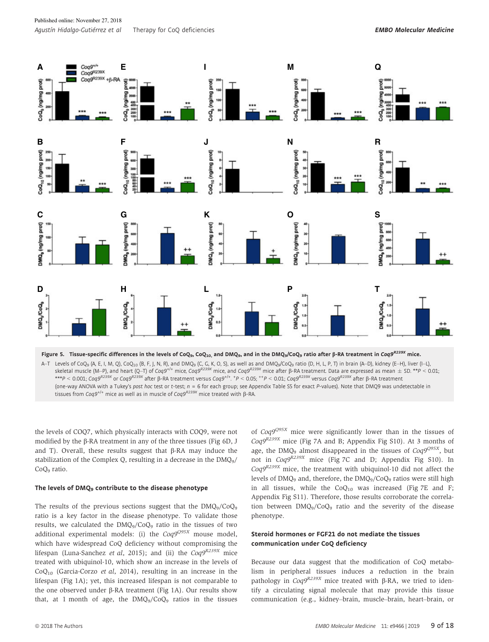

A–T Levels of CoQ<sub>9</sub> (A, E, I, M, Q), CoQ<sub>10</sub> (B, F, J, N, R), and DMQ<sub>9</sub> (C, G, K, O, S), as well as and DMQ<sub>9</sub>/CoQ<sub>9</sub> ratio (D, H, L, P, T) in brain (A–D), kidney (E–H), liver (I–L), skeletal muscle (M–P), and heart (Q–T) of Coq9<sup>+/+</sup> mice, Coq9<sup>R239X</sup> mice, and Coq9<sup>R239X</sup> mice after ß-RA treatment. Data are expressed as mean  $\pm$  SD. \*\*P < 0.01; \*\*\*P < 0.001; Coq9<sup>R239X</sup> or Coq9<sup>R239X</sup> after β-RA treatment versus Coq9<sup>+/+</sup>. \*P < 0.05; <sup>++</sup>P < 0.01; Coq9<sup>R239X</sup> versus Coq9<sup>R239X</sup> after β-RA treatment . (one-way ANOVA with a Tukey's post hoc test or t-test; n = 6 for each group; see Appendix Table S5 for exact P-values). Note that DMQ9 was undetectable in

tissues from Coq9<sup>+/+</sup> mice as well as in muscle of Coq9<sup>R239X</sup> mice treated with  $\beta$ -RA.

the levels of COQ7, which physically interacts with COQ9, were not modified by the  $\beta$ -RA treatment in any of the three tissues (Fig 6D, J and T). Overall, these results suggest that  $\beta$ -RA may induce the stabilization of the Complex Q, resulting in a decrease in the  $DMQ<sub>9</sub>/$ CoQ<sup>9</sup> ratio.

#### The levels of DMQ<sub>9</sub> contribute to the disease phenotype

The results of the previous sections suggest that the  $DMQ_9/CoQ_9$ ratio is a key factor in the disease phenotype. To validate those results, we calculated the  $DMQ_9/CoQ_9$  ratio in the tissues of two additional experimental models: (i) the  $Cog9^{Q95X}$  mouse model, which have widespread CoQ deficiency without compromising the lifespan (Luna-Sanchez *et al*, 2015); and (ii) the  $Cog9^{R239X}$  mice treated with ubiquinol-10, which show an increase in the levels of  $CoQ<sub>10</sub>$  (Garcia-Corzo *et al*, 2014), resulting in an increase in the lifespan (Fig 1A); yet, this increased lifespan is not comparable to the one observed under  $\beta$ -RA treatment (Fig 1A). Our results show that, at 1 month of age, the  $DMO<sub>9</sub>/COO<sub>9</sub>$  ratios in the tissues

of  $Cog9^{Q95X}$  mice were significantly lower than in the tissues of  $Coq9^{R239X}$  mice (Fig 7A and B; Appendix Fig S10). At 3 months of age, the DMQ<sub>9</sub> almost disappeared in the tissues of  $Cog9^{Q95X}$ , but not in Coq9R239X mice (Fig 7C and D; Appendix Fig S10). In  $Cog9^{R239X}$  mice, the treatment with ubiquinol-10 did not affect the levels of DMQ<sub>9</sub> and, therefore, the DMQ<sub>9</sub>/CoQ<sub>9</sub> ratios were still high in all tissues, while the  $CoQ<sub>10</sub>$  was increased (Fig 7E and F; Appendix Fig S11). Therefore, those results corroborate the correlation between DMQ9/CoQ<sup>9</sup> ratio and the severity of the disease phenotype.

#### Steroid hormones or FGF21 do not mediate the tissues communication under CoQ deficiency

Because our data suggest that the modification of CoQ metabolism in peripheral tissues induces a reduction in the brain pathology in  $Cog9^{R239X}$  mice treated with  $\beta$ -RA, we tried to identify a circulating signal molecule that may provide this tissue communication (e.g., kidney–brain, muscle–brain, heart–brain, or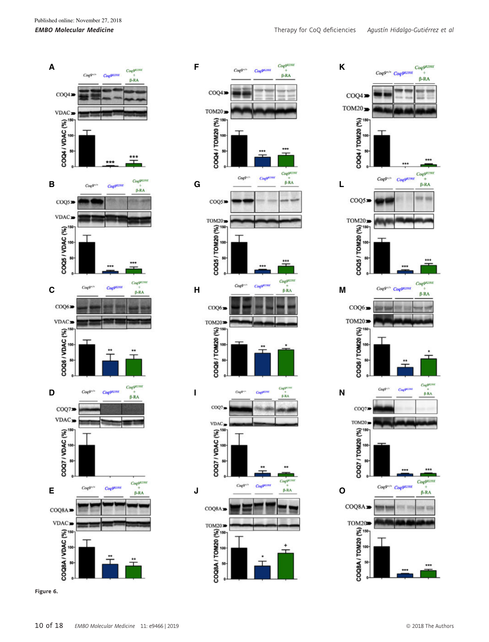





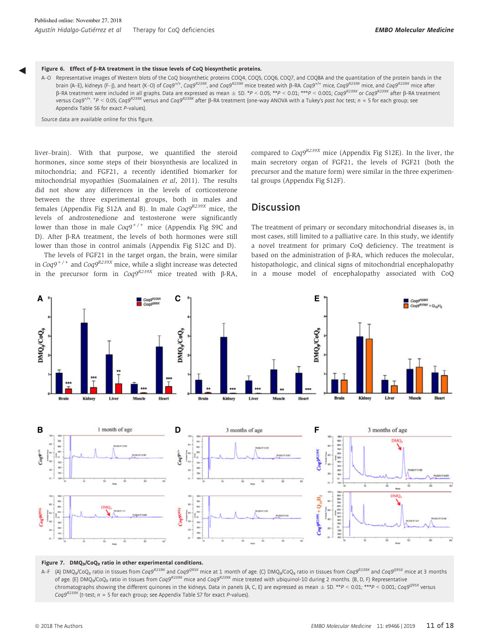#### Figure 6. Effect of b-RA treatment in the tissue levels of CoQ biosynthetic proteins.

A–O Representative images of Western blots of the CoQ biosynthetic proteins COQ4, COQ5, COQ6, COQ7, and COQ8A and the quantitation of the protein bands in the brain (A–E), kidneys (F–J), and heart (K–O) of Coq9<sup>+/+</sup>, Coq9<sup>R239X</sup>, and Coq9<sup>R239X</sup> mice treated with β-RA. Coq9<sup>F/+</sup> mice, Coq9<sup>R239X</sup> mice, and Coq9<sup>R239X</sup> mice after  $\beta$ -RA treatment were included in all graphs. Data are expressed as mean  $\pm$  SD. \*P < 0.05; \*\*P < 0.001; \*\*\*P < 0.001; Coq9<sup>R239X</sup> or Coq9<sup>R239X</sup> after β-RA treatment versus Coq9<sup>+/+</sup>. \*P < 0.05; Coq9<sup>R239X</sup> versus and Coq9<sup>R239X</sup> after ß-RA treatment (one-way ANOVA with a Tukey's post hoc test; n = 5 for each group; see . Appendix Table S6 for exact P-values).

Source data are available online for this figure.

◀

liver–brain). With that purpose, we quantified the steroid hormones, since some steps of their biosynthesis are localized in mitochondria; and FGF21, a recently identified biomarker for mitochondrial myopathies (Suomalainen et al, 2011). The results did not show any differences in the levels of corticosterone between the three experimental groups, both in males and females (Appendix Fig S12A and B). In male  $Cog9^{R239X}$  mice, the levels of androstenedione and testosterone were significantly lower than those in male  $Cog9^{+/+}$  mice (Appendix Fig S9C and D). After β-RA treatment, the levels of both hormones were still lower than those in control animals (Appendix Fig S12C and D).

The levels of FGF21 in the target organ, the brain, were similar in  $Cog9^{+/+}$  and  $Cog9^{R239X}$  mice, while a slight increase was detected in the precursor form in  $Coq9^{R239X}$  mice treated with  $\beta$ -RA, compared to  $Cog9^{R239X}$  mice (Appendix Fig S12E). In the liver, the main secretory organ of FGF21, the levels of FGF21 (both the precursor and the mature form) were similar in the three experimental groups (Appendix Fig S12F).

# Discussion

The treatment of primary or secondary mitochondrial diseases is, in most cases, still limited to a palliative care. In this study, we identify a novel treatment for primary CoQ deficiency. The treatment is based on the administration of  $\beta$ -RA, which reduces the molecular, histopathologic, and clinical signs of mitochondrial encephalopathy in a mouse model of encephalopathy associated with CoQ



#### Figure 7. DMQ<sub>9</sub>/CoQ<sub>9</sub> ratio in other experimental conditions.

A–F (A) DMQ<sub>9</sub>/CoQ<sub>9</sub> ratio in tissues from Coq9<sup>R239X</sup> and Coq9<sup>Q95X</sup> mice at 1 month of age. (C) DMQ<sub>9</sub>/CoQ<sub>9</sub> ratio in tissues from Coq9<sup>R239X</sup> and Coq9<sup>Q95X</sup> mice at 3 months of age. (E) DMQ<sub>9</sub>/CoQ<sub>9</sub> ratio in tissues from Coq9<sup>R239X</sup> mice and Coq9<sup>R239X</sup> mice treated with ubiquinol-10 during 2 months. (B, D, F) Representative chromatographs showing the different quinones in the kidneys. Data in panels (A, C, E) are expressed as mean  $\pm$  SD. \*\* $P < 0.01$ ; \*\*\* $P < 0.001$ ; Coq9<sup>095X</sup> versus  $Cog<sup>9R239X</sup>$  (t-test; n = 5 for each group; see Appendix Table S7 for exact P-values).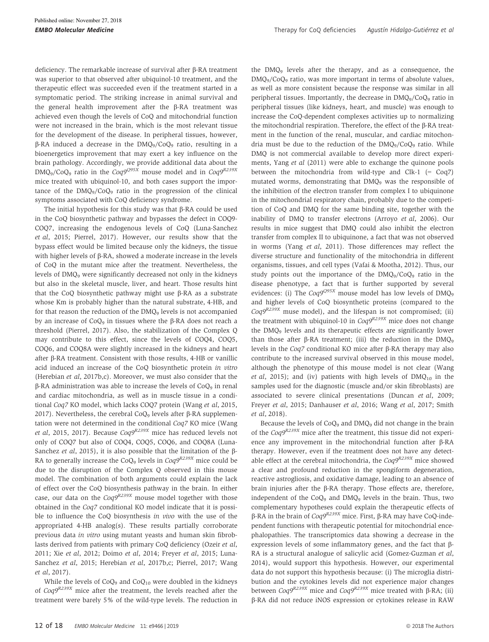deficiency. The remarkable increase of survival after  $\beta$ -RA treatment was superior to that observed after ubiquinol-10 treatment, and the therapeutic effect was succeeded even if the treatment started in a symptomatic period. The striking increase in animal survival and the general health improvement after the  $\beta$ -RA treatment was achieved even though the levels of CoQ and mitochondrial function were not increased in the brain, which is the most relevant tissue for the development of the disease. In peripheral tissues, however,  $\beta$ -RA induced a decrease in the DMQ<sub>9</sub>/CoQ<sub>9</sub> ratio, resulting in a bioenergetics improvement that may exert a key influence on the brain pathology. Accordingly, we provide additional data about the  $DMQ_9/COQ_9$  ratio in the  $Cog9^{Q95X}$  mouse model and in  $Cog9^{R239X}$ mice treated with ubiquinol-10, and both cases support the importance of the  $DMO<sub>9</sub>/COO<sub>9</sub>$  ratio in the progression of the clinical symptoms associated with CoQ deficiency syndrome.

The initial hypothesis for this study was that  $\beta$ -RA could be used in the CoQ biosynthetic pathway and bypasses the defect in COQ9- COQ7, increasing the endogenous levels of CoQ (Luna-Sanchez et al, 2015; Pierrel, 2017). However, our results show that the bypass effect would be limited because only the kidneys, the tissue with higher levels of  $\beta$ -RA, showed a moderate increase in the levels of CoQ in the mutant mice after the treatment. Nevertheless, the levels of DMQ<sup>9</sup> were significantly decreased not only in the kidneys but also in the skeletal muscle, liver, and heart. Those results hint that the CoQ biosynthetic pathway might use  $\beta$ -RA as a substrate whose Km is probably higher than the natural substrate, 4-HB, and for that reason the reduction of the DMQ<sub>9</sub> levels is not accompanied by an increase of  $CoQ<sub>9</sub>$  in tissues where the  $\beta$ -RA does not reach a threshold (Pierrel, 2017). Also, the stabilization of the Complex Q may contribute to this effect, since the levels of COQ4, COQ5, COQ6, and COQ8A were slightly increased in the kidneys and heart after  $\beta$ -RA treatment. Consistent with those results, 4-HB or vanillic acid induced an increase of the CoQ biosynthetic protein in vitro (Herebian et al, 2017b,c). Moreover, we must also consider that the  $\beta$ -RA administration was able to increase the levels of CoQ<sub>9</sub> in renal and cardiac mitochondria, as well as in muscle tissue in a conditional Coq7 KO model, which lacks COQ7 protein (Wang et al, 2015, 2017). Nevertheless, the cerebral  $CoQ<sub>9</sub>$  levels after  $\beta$ -RA supplementation were not determined in the conditional Coq7 KO mice (Wang et al, 2015, 2017). Because  $Cog9^{R239X}$  mice has reduced levels not only of COQ7 but also of COQ4, COQ5, COQ6, and COQ8A (Luna-Sanchez *et al*, 2015), it is also possible that the limitation of the  $\beta$ -RA to generally increase the CoQ<sub>9</sub> levels in  $Cog9^{R239X}$  mice could be due to the disruption of the Complex Q observed in this mouse model. The combination of both arguments could explain the lack of effect over the CoQ biosynthesis pathway in the brain. In either case, our data on the  $Cog<sup>R239X</sup>$  mouse model together with those obtained in the Coq7 conditional KO model indicate that it is possible to influence the CoQ biosynthesis in vivo with the use of the appropriated 4-HB analog(s). These results partially corroborate previous data in vitro using mutant yeasts and human skin fibroblasts derived from patients with primary CoQ deficiency (Ozeir et al, 2011; Xie et al, 2012; Doimo et al, 2014; Freyer et al, 2015; Luna-Sanchez et al, 2015; Herebian et al, 2017b,c; Pierrel, 2017; Wang et al, 2017).

While the levels of  $CoQ<sub>9</sub>$  and  $CoQ<sub>10</sub>$  were doubled in the kidneys of  $Cog9^{R239X}$  mice after the treatment, the levels reached after the treatment were barely 5% of the wild-type levels. The reduction in the  $DMQ<sub>9</sub>$  levels after the therapy, and as a consequence, the  $\text{DMO}_9/\text{CoO}_9$  ratio, was more important in terms of absolute values, as well as more consistent because the response was similar in all peripheral tissues. Importantly, the decrease in DMQ<sub>9</sub>/CoQ<sub>9</sub> ratio in peripheral tissues (like kidneys, heart, and muscle) was enough to increase the CoQ-dependent complexes activities up to normalizing the mitochondrial respiration. Therefore, the effect of the  $\beta$ -RA treatment in the function of the renal, muscular, and cardiac mitochondria must be due to the reduction of the  $DMQ_9/CoQ_9$  ratio. While DMQ is not commercial available to develop more direct experiments, Yang et al (2011) were able to exchange the quinone pools between the mitochondria from wild-type and Clk-1 (= Coq7) mutated worms, demonstrating that DMQ<sub>9</sub> was the responsible of the inhibition of the electron transfer from complex I to ubiquinone in the mitochondrial respiratory chain, probably due to the competition of CoQ and DMQ for the same binding site, together with the inability of DMQ to transfer electrons (Arroyo et al, 2006). Our results in mice suggest that DMQ could also inhibit the electron transfer from complex II to ubiquinone, a fact that was not observed in worms (Yang et al, 2011). Those differences may reflect the diverse structure and functionality of the mitochondria in different organisms, tissues, and cell types (Vafai & Mootha, 2012). Thus, our study points out the importance of the DMQ9/CoQ<sup>9</sup> ratio in the disease phenotype, a fact that is further supported by several evidences: (i) The  $Coq9^{Q95X}$  mouse model has low levels of DMQ<sub>9</sub> and higher levels of CoQ biosynthetic proteins (compared to the  $Coq9^{R239X}$  muse model), and the lifespan is not compromised; (ii) the treatment with ubiquinol-10 in  $Cog9^{R239X}$  mice does not change the DMQ<sup>9</sup> levels and its therapeutic effects are significantly lower than those after  $\beta$ -RA treatment; (iii) the reduction in the DMQ<sub>9</sub> levels in the  $Cog7$  conditional KO mice after  $\beta$ -RA therapy may also contribute to the increased survival observed in this mouse model, although the phenotype of this mouse model is not clear (Wang et al, 2015); and (iv) patients with high levels of  $DMQ_{10}$  in the samples used for the diagnostic (muscle and/or skin fibroblasts) are associated to severe clinical presentations (Duncan et al, 2009; Freyer et al, 2015; Danhauser et al, 2016; Wang et al, 2017; Smith et al, 2018).

Because the levels of  $CoQ<sub>9</sub>$  and  $DMQ<sub>9</sub>$  did not change in the brain of the  $Cog<sup>R239X</sup>$  mice after the treatment, this tissue did not experience any improvement in the mitochondrial function after  $\beta$ -RA therapy. However, even if the treatment does not have any detectable effect at the cerebral mitochondria, the  $Cog9^{R239X}$  mice showed a clear and profound reduction in the spongiform degeneration, reactive astrogliosis, and oxidative damage, leading to an absence of brain injuries after the  $\beta$ -RA therapy. Those effects are, therefore, independent of the CoQ<sub>9</sub> and DMQ<sub>9</sub> levels in the brain. Thus, two complementary hypotheses could explain the therapeutic effects of β-RA in the brain of  $Coq9^{R239X}$  mice. First, β-RA may have CoQ-independent functions with therapeutic potential for mitochondrial encephalopathies. The transcriptomics data showing a decrease in the expression levels of some inflammatory genes, and the fact that  $\beta$ -RA is a structural analogue of salicylic acid (Gomez-Guzman et al, 2014), would support this hypothesis. However, our experimental data do not support this hypothesis because: (i) The microglia distribution and the cytokines levels did not experience major changes between  $Cog9^{R239X}$  mice and  $Cog9^{R239X}$  mice treated with  $\beta$ -RA; (ii) b-RA did not reduce iNOS expression or cytokines release in RAW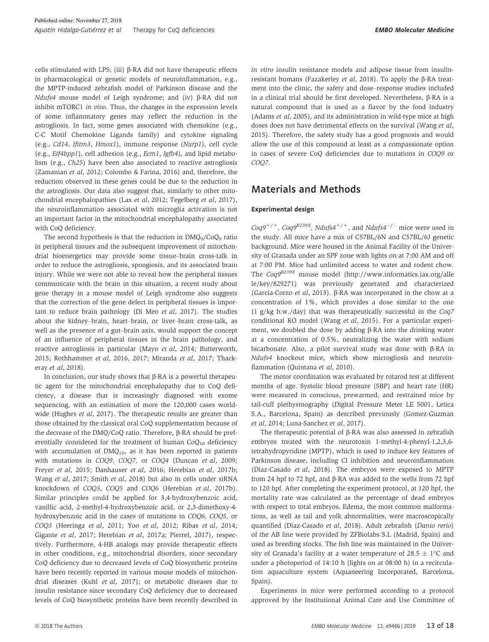cells stimulated with LPS; (iii)  $\beta$ -RA did not have therapeutic effects in pharmacological or genetic models of neuroinflammation, e.g., the MPTP-induced zebrafish model of Parkinson disease and the Ndufs4 mouse model of Leigh syndrome; and (iv)  $\beta$ -RA did not inhibit mTORC1 in vivo. Thus, the changes in the expression levels of some inflammatory genes may reflect the reduction in the astrogliosis. In fact, some genes associated with chemokine (e.g., C-C Motif Chemokine Ligands family) and cytokine signaling (e.g., Cd14, Ifitm3, Hmox1), immune response (Nurp1), cell cycle (e.g., Eif4bpp1), cell adhesion (e.g., Ecm1, Igfb4), and lipid metabolism (e.g., Ch25) have been also associated to reactive astrogliosis (Zamanian et al, 2012; Colombo & Farina, 2016) and, therefore, the reduction observed in these genes could be due to the reduction in the astrogliosis. Our data also suggest that, similarly to other mitochondrial encephalopathies (Lax et al, 2012; Tegelberg et al, 2017), the neuroinflammation associated with microglia activation is not an important factor in the mitochondrial encephalopathy associated with CoQ deficiency.

The second hypothesis is that the reduction in  $\text{DMQ}_9/\text{CoQ}_9$  ratio in peripheral tissues and the subsequent improvement of mitochondrial bioenergetics may provide some tissue–brain cross-talk in order to reduce the astrogliosis, spongiosis, and its associated brain injury. While we were not able to reveal how the peripheral tissues communicate with the brain in this situation, a recent study about gene therapy in a mouse model of Leigh syndrome also suggests that the correction of the gene defect in peripheral tissues is important to reduce brain pathology (Di Meo et al, 2017). The studies about the kidney–brain, heart–brain, or liver–brain cross-talk, as well as the presence of a gut–brain axis, would support the concept of an influence of peripheral tissues in the brain pathology, and reactive astrogliosis in particular (Mayo et al, 2014; Butterworth, 2015; Rothhammer et al, 2016, 2017; Miranda et al, 2017; Thackeray et al, 2018).

In conclusion, our study shows that  $\beta$ -RA is a powerful therapeutic agent for the mitochondrial encephalopathy due to CoQ deficiency, a disease that is increasingly diagnosed with exome sequencing, with an estimation of more the 120,000 cases worldwide (Hughes et al, 2017). The therapeutic results are greater than those obtained by the classical oral CoQ supplementation because of the decrease of the DMQ/CoQ ratio. Therefore, β-RA should be preferentially considered for the treatment of human  $CoQ_{10}$  deficiency with accumulation of  $DMQ<sub>10</sub>$ , as it has been reported in patients with mutations in COQ9, COQ7, or COQ4 (Duncan et al, 2009; Freyer et al, 2015; Danhauser et al, 2016; Herebian et al, 2017b; Wang et al, 2017; Smith et al, 2018) but also in cells under siRNA knockdown of COQ3, COQ5 and COQ6 (Herebian et al, 2017b). Similar principles could be applied for 3,4-hydroxybenzoic acid, vanillic acid, 2-methyl-4-hydroxybenzoic acid, or 2,3-dimethoxy-4 hydroxybenzoic acid in the cases of mutations in COQ6, COQ5, or COQ3 (Heeringa et al, 2011; Yoo et al, 2012; Ribas et al, 2014; Gigante et al, 2017; Herebian et al, 2017a; Pierrel, 2017), respectively. Furthermore, 4-HB analogs may provide therapeutic effects in other conditions, e.g., mitochondrial disorders, since secondary CoQ deficiency due to decreased levels of CoQ biosynthetic proteins have been recently reported in various mouse models of mitochondrial diseases (Kuhl et al, 2017); or metabolic diseases due to insulin resistance since secondary CoQ deficiency due to decreased levels of CoQ biosynthetic proteins have been recently described in in vitro insulin resistance models and adipose tissue from insulinresistant humans (Fazakerley et al, 2018). To apply the B-RA treatment into the clinic, the safety and dose–response studies included in a clinical trial should be first developed. Nevertheless,  $\beta$ -RA is a natural compound that is used as a flavor by the food industry (Adams et al, 2005), and its administration in wild-type mice at high doses does not have detrimental effects on the survival (Wang et al, 2015). Therefore, the safety study has a good prognosis and would allow the use of this compound at least as a compassionate option in cases of severe CoQ deficiencies due to mutations in COQ9 or COO<sub>7</sub>

# Materials and Methods

#### Experimental design

 $Cog9^{+/+}$ ,  $Cog9^{R239X}$ ,  $Ndufs4^{+/+}$ , and  $Ndufs4^{-/-}$  mice were used in the study. All mice have a mix of C57BL/6N and C57BL/6J genetic background. Mice were housed in the Animal Facility of the University of Granada under an SPF zone with lights on at 7:00 AM and off at 7:00 PM. Mice had unlimited access to water and rodent chow. The Coq9R239X mouse model [\(http://www.informatics.jax.org/alle](http://www.informatics.jax.org/allele/key/829271) [le/key/829271](http://www.informatics.jax.org/allele/key/829271)) was previously generated and characterized (Garcia-Corzo et al, 2013). b-RA was incorporated in the chow at a concentration of 1%, which provides a dose similar to the one (1 g/kg b.w./day) that was therapeutically successful in the Coq7 conditional KO model (Wang et al, 2015). For a particular experiment, we doubled the dose by adding  $\beta$ -RA into the drinking water at a concentration of 0.5%, neutralizing the water with sodium bicarbonate. Also, a pilot survival study was done with  $\beta$ -RA in Ndufs4 knockout mice, which show microgliosis and neuroinflammation (Quintana et al, 2010).

The motor coordination was evaluated by rotarod test at different months of age. Systolic blood pressure (SBP) and heart rate (HR) were measured in conscious, prewarmed, and restrained mice by tail-cuff plethysmography (Digital Pressure Meter LE 5001, Letica S.A., Barcelona, Spain) as described previously (Gomez-Guzman et al, 2014; Luna-Sanchez et al, 2017).

The therapeutic potential of  $\beta$ -RA was also assessed in zebrafish embryos treated with the neurotoxin 1-methyl-4-phenyl-1,2,3,6 tetrahydropyridine (MPTP), which is used to induce key features of Parkinson disease, including CI inhibition and neuroinflammation (Diaz-Casado et al, 2018). The embryos were exposed to MPTP from 24 hpf to 72 hpf, and  $\beta$ -RA was added to the wells from 72 hpf to 120 hpf. After completing the experiment protocol, at 120 hpf, the mortality rate was calculated as the percentage of dead embryos with respect to total embryos. Edema, the most common malformations, as well as tail and yolk abnormalities, were macroscopically quantified (Diaz-Casado et al, 2018). Adult zebrafish (Danio rerio) of the AB line were provided by ZFBiolabs S.L (Madrid, Spain) and used as breeding stocks. The fish line was maintained in the University of Granada's facility at a water temperature of  $28.5 \pm 1^{\circ}$ C and under a photoperiod of 14:10 h (lights on at 08:00 h) in a recirculation aquaculture system (Aquaneering Incorporated, Barcelona, Spain).

Experiments in mice were performed according to a protocol approved by the Institutional Animal Care and Use Committee of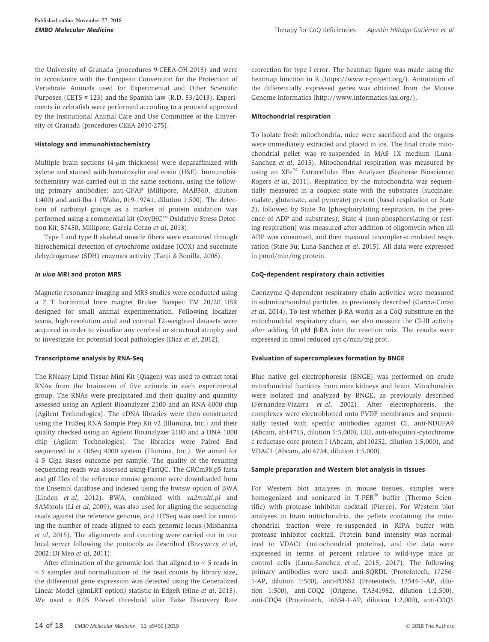the University of Granada (procedures 9-CEEA-OH-2013) and were in accordance with the European Convention for the Protection of Vertebrate Animals used for Experimental and Other Scientific Purposes (CETS # 123) and the Spanish law (R.D. 53/2013). Experiments in zebrafish were performed according to a protocol approved by the Institutional Animal Care and Use Committee of the University of Granada (procedures CEEA 2010-275).

#### Histology and immunohistochemistry

Multiple brain sections (4 um thickness) were deparaffinized with xylene and stained with hematoxylin and eosin (H&E). Immunohistochemistry was carried out in the same sections, using the following primary antibodies: anti-GFAP (Millipore, MAB360, dilution 1:400) and anti-Iba-1 (Wako, 019-19741, dilution 1:500). The detection of carbonyl groups as a marker of protein oxidation was performed using a commercial kit (OxyIHC™ Oxidative Stress Detection Kit; S7450, Millipore; Garcia-Corzo et al, 2013).

Type I and type II skeletal muscle fibers were examined through histochemical detection of cytochrome oxidase (COX) and succinate dehydrogenase (SDH) enzymes activity (Tanji & Bonilla, 2008).

#### In vivo MRI and proton MRS

Magnetic resonance imaging and MRS studies were conducted using a 7 T horizontal bore magnet Bruker Biospec TM 70/20 USR designed for small animal experimentation. Following localizer scans, high-resolution axial and coronal T2-weighted datasets were acquired in order to visualize any cerebral or structural atrophy and to investigate for potential focal pathologies (Diaz et al, 2012).

#### Transcriptome analysis by RNA-Seq

The RNeasy Lipid Tissue Mini Kit (Qiagen) was used to extract total RNAs from the brainstem of five animals in each experimental group. The RNAs were precipitated and their quality and quantity assessed using an Agilent Bioanalyzer 2100 and an RNA 6000 chip (Agilent Technologies). The cDNA libraries were then constructed using the TruSeq RNA Sample Prep Kit v2 (Illumina, Inc.) and their quality checked using an Agilent Bioanalyzer 2100 and a DNA 1000 chip (Agilent Technologies). The libraries were Paired End sequenced in a HiSeq 4000 system (Illumina, Inc.). We aimed for 4–5 Giga Bases outcome per sample. The quality of the resulting sequencing reads was assessed using FastQC. The GRCm38.p5 fasta and gtf files of the reference mouse genome were downloaded from the Ensembl database and indexed using the bwtsw option of BWA (Linden et al, 2012). BWA, combined with xa2multi.pl and SAMtools (Li et al, 2009), was also used for aligning the sequencing reads against the reference genome, and HTSeq was used for counting the number of reads aligned to each genomic locus (Mishanina et al, 2015). The alignments and counting were carried out in our local server following the protocols as described (Brzywczy et al, 2002; Di Meo et al, 2011).

After elimination of the genomic loci that aligned to < 5 reads in < 5 samples and normalization of the read counts by library size, the differential gene expression was detected using the Generalized Linear Model (glmLRT option) statistic in EdgeR (Hine et al, 2015). We used a 0.05 P-level threshold after False Discovery Rate correction for type I error. The heatmap figure was made using the heatmap function in R [\(https://www.r-project.org/](https://www.r-project.org/)). Annotation of the differentially expressed genes was obtained from the Mouse Genome Informatics ([http://www.informatics.jax.org/\)](http://www.informatics.jax.org/).

#### Mitochondrial respiration

To isolate fresh mitochondria, mice were sacrificed and the organs were immediately extracted and placed in ice. The final crude mitochondrial pellet was re-suspended in MAS 1X medium (Luna-Sanchez et al, 2015). Mitochondrial respiration was measured by using an XFe<sup>24</sup> Extracellular Flux Analyzer (Seahorse Bioscience; Rogers et al, 2011). Respiration by the mitochondria was sequentially measured in a coupled state with the substrates (succinate, malate, glutamate, and pyruvate) present (basal respiration or State 2), followed by State 3o (phosphorylating respiration, in the presence of ADP and substrates); State 4 (non-phosphorylating or resting respiration) was measured after addition of oligomycin when all ADP was consumed, and then maximal uncoupler-stimulated respiration (State 3u; Luna-Sanchez et al, 2015). All data were expressed in pmol/min/mg protein.

#### CoQ-dependent respiratory chain activities

Coenzyme Q-dependent respiratory chain activities were measured in submitochondrial particles, as previously described (Garcia-Corzo et al, 2014). To test whether  $\beta$ -RA works as a CoQ substitute en the mitochondrial respiratory chain, we also measure the CI-III activity after adding 50  $\mu$ M  $\beta$ -RA into the reaction mix. The results were expressed in nmol reduced cyt c/min/mg prot.

#### Evaluation of supercomplexes formation by BNGE

Blue native gel electrophoresis (BNGE) was performed on crude mitochondrial fractions from mice kidneys and brain. Mitochondria were isolated and analyzed by BNGE, as previously described (Fernandez-Vizarra et al, 2002). After electrophoresis, the complexes were electroblotted onto PVDF membranes and sequentially tested with specific antibodies against CI, anti-NDUFA9 (Abcam, ab14713, dilution 1:5,000), CIII, anti-ubiquinol-cytochrome c reductase core protein I (Abcam, ab110252, dilution 1:5,000), and VDAC1 (Abcam, ab14734, dilution 1:5,000).

#### Sample preparation and Western blot analysis in tissues

For Western blot analyses in mouse tissues, samples were homogenized and sonicated in T-PER® buffer (Thermo Scientific) with protease inhibitor cocktail (Pierce). For Western blot analyses in brain mitochondria, the pellets containing the mitochondrial fraction were re-suspended in RIPA buffer with protease inhibitor cocktail. Protein band intensity was normalized to VDAC1 (mitochondrial proteins), and the data were expressed in terms of percent relative to wild-type mice or control cells (Luna-Sanchez et al, 2015, 2017). The following primary antibodies were used: anti-SQRDL (Proteintech, 17256- 1-AP, dilution 1:500), anti-PDSS2 (Proteintech, 13544-1-AP, dilution 1:500), anti-COQ2 (Origene, TA341982, dilution 1:2,500), anti-COQ4 (Proteintech, 16654-1-AP, dilution 1:2,000), anti-COQ5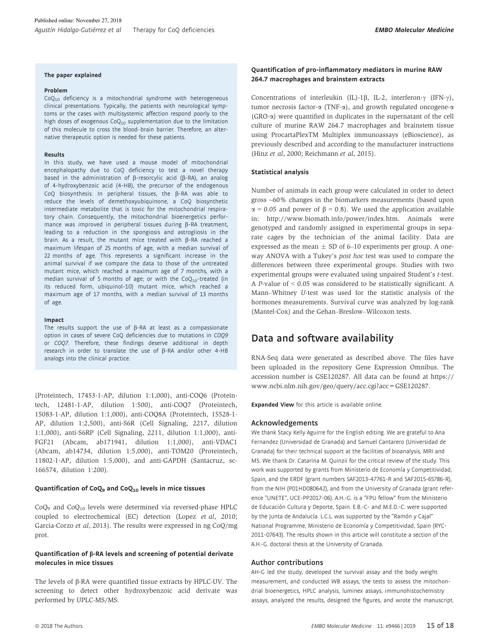#### The paper explained

#### Problem

 $CoQ<sub>10</sub>$  deficiency is a mitochondrial syndrome with heterogeneous clinical presentations. Typically, the patients with neurological symptoms or the cases with multisystemic affection respond poorly to the high doses of exogenous  $CoQ_{10}$  supplementation due to the limitation of this molecule to cross the blood–brain barrier. Therefore, an alternative therapeutic option is needed for these patients.

#### Results

In this study, we have used a mouse model of mitochondrial encephalopathy due to CoQ deficiency to test a novel therapy based in the administration of  $\beta$ -resorcylic acid ( $\beta$ -RA), an analog of 4-hydroxybenzoic acid (4-HB), the precursor of the endogenous CoQ biosynthesis. In peripheral tissues, the  $\beta$ -RA was able to reduce the levels of demethoxyubiquinone, a CoQ biosynthetic intermediate metabolite that is toxic for the mitochondrial respiratory chain. Consequently, the mitochondrial bioenergetics performance was improved in peripheral tissues during  $\beta$ -RA treatment, leading to a reduction in the spongiosis and astrogliosis in the brain. As a result, the mutant mice treated with  $\beta$ -RA reached a maximum lifespan of 25 months of age, with a median survival of 22 months of age. This represents a significant increase in the animal survival if we compare the data to those of the untreated mutant mice, which reached a maximum age of 7 months, with a median survival of 5 months of age; or with the  $CoQ_{10}$ -treated (in its reduced form, ubiquinol-10) mutant mice, which reached a maximum age of 17 months, with a median survival of 13 months of age.

#### Impact

The results support the use of  $\beta$ -RA at least as a compassionate option in cases of severe CoQ deficiencies due to mutations in COQ9 or COQ7. Therefore, these findings deserve additional in depth research in order to translate the use of  $\beta$ -RA and/or other 4-HB analogs into the clinical practice.

(Proteintech, 17453-1-AP, dilution 1:1,000), anti-COQ6 (Proteintech, 12481-1-AP, dilution 1:500), anti-COQ7 (Proteintech, 15083-1-AP, dilution 1:1,000), anti-COQ8A (Proteintech, 15528-1- AP, dilution 1:2,500), anti-S6R (Cell Signaling, 2217, dilution 1:1,000), anti-S6RP (Cell Signaling, 2211, dilution 1:1,000), anti-FGF21 (Abcam, ab171941, dilution 1:1,000), anti-VDAC1 (Abcam, ab14734, dilution 1:5,000), anti-TOM20 (Proteintech, 11802-1-AP, dilution 1:5,000), and anti-GAPDH (Santacruz, sc-166574, dilution 1:200).

#### Quantification of CoQ<sub>9</sub> and CoQ<sub>10</sub> levels in mice tissues

 $CoO<sub>9</sub>$  and  $CoO<sub>10</sub>$  levels were determined via reversed-phase HPLC coupled to electrochemical (EC) detection (Lopez et al, 2010; Garcia-Corzo et al, 2013). The results were expressed in ng CoQ/mg prot.

#### Quantification of  $\beta$ -RA levels and screening of potential derivate molecules in mice tissues

The levels of  $\beta$ -RA were quantified tissue extracts by HPLC-UV. The screening to detect other hydroxybenzoic acid derivate was performed by UPLC-MS/MS.

#### Quantification of pro-inflammatory mediators in murine RAW 264.7 macrophages and brainstem extracts

Concentrations of interleukin (IL)-1 $\beta$ , IL-2, interferon- $\gamma$  (IFN- $\gamma$ ), tumor necrosis factor- $\alpha$  (TNF- $\alpha$ ), and growth regulated oncogene- $\alpha$ (GRO-a) were quantified in duplicates in the supernatant of the cell culture of murine RAW 264.7 macrophages and brainstem tissue using ProcartaPlexTM Multiplex immunoassays (eBioscience), as previously described and according to the manufacturer instructions (Hinz et al, 2000; Reichmann et al, 2015).

#### Statistical analysis

Number of animals in each group were calculated in order to detect gross ~60% changes in the biomarkers measurements (based upon  $\alpha$  = 0.05 and power of  $\beta$  = 0.8). We used the application available in:<http://www.biomath.info/power/index.htm>. Animals were genotyped and randomly assigned in experimental groups in separate cages by the technician of the animal facility. Data are expressed as the mean  $\pm$  SD of 6–10 experiments per group. A oneway ANOVA with a Tukey's post hoc test was used to compare the differences between three experimental groups. Studies with two experimental groups were evaluated using unpaired Student's t-test. A P-value of < 0.05 was considered to be statistically significant. A Mann–Whitney U-test was used for the statistic analysis of the hormones measurements. Survival curve was analyzed by log-rank (Mantel-Cox) and the Gehan–Breslow–Wilcoxon tests.

## Data and software availability

RNA-Seq data were generated as described above. The files have been uploaded in the repository Gene Expression Omnibus. The accession number is GSE120287. All data can be found at [https://](https://www.ncbi.nlm.nih.gov/geo/query/acc.cgi?acc=GSE120287) [www.ncbi.nlm.nih.gov/geo/query/acc.cgi?acc=GSE120287.](https://www.ncbi.nlm.nih.gov/geo/query/acc.cgi?acc=GSE120287)

Expanded View for this article is available [online.](https://doi.org/10.15252/emmm.201809466)

#### Acknowledgements

We thank Stacy Kelly Aguirre for the English editing. We are grateful to Ana Fernandez (Universidad de Granada) and Samuel Cantarero (Universidad de Granada) for their technical support at the facilities of bioanalysis, MRI and MS. We thank Dr. Catarina M. Quinzii for the critical review of the study. This work was supported by grants from Ministerio de Economía y Competitividad, Spain, and the ERDF (grant numbers SAF2013-47761-R and SAF2015-65786-R), from the NIH (P01HD080642), and from the University of Granada (grant reference "UNETE", UCE-PP2017-06). A.H.-G. is a "FPU fellow" from the Ministerio de Educación Cultura y Deporte, Spain. E.B.-C- and M.E.D.-C. were supported by the Junta de Andalucía. L.C.L. was supported by the "Ramón y Cajal" National Programme, Ministerio de Economía y Competitividad, Spain (RYC-2011-07643). The results shown in this article will constitute a section of the A.H.-G. doctoral thesis at the University of Granada.

#### Author contributions

AH-G led the study, developed the survival assay and the body weight measurement, and conducted WB assays, the tests to assess the mitochondrial bioenergetics, HPLC analysis, luminex assays, immunohistochemistry assays, analyzed the results, designed the figures, and wrote the manuscript.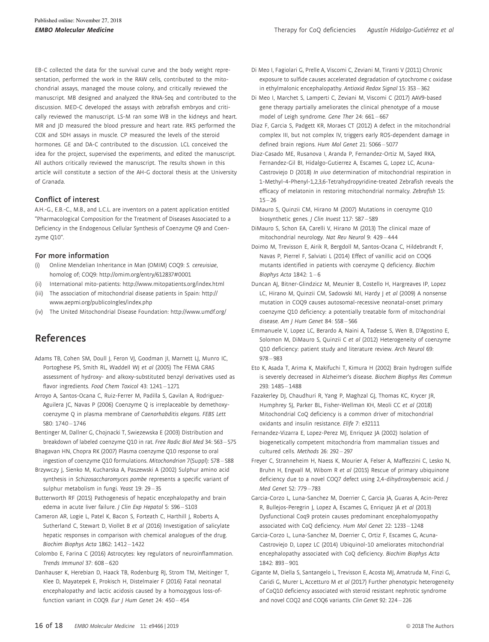EB-C collected the data for the survival curve and the body weight representation, performed the work in the RAW cells, contributed to the mitochondrial assays, managed the mouse colony, and critically reviewed the manuscript. MB designed and analyzed the RNA-Seq and contributed to the discussion. MED-C developed the assays with zebrafish embryos and critically reviewed the manuscript. LS-M ran some WB in the kidneys and heart. MR and JD measured the blood pressure and heart rate. RKS performed the COX and SDH assays in muscle. CP measured the levels of the steroid hormones. GE and DA-C contributed to the discussion. LCL conceived the idea for the project, supervised the experiments, and edited the manuscript. All authors critically reviewed the manuscript. The results shown in this article will constitute a section of the AH-G doctoral thesis at the University of Granada.

#### Conflict of interest

A.H.-G., E.B.-C., M.B., and L.C.L. are inventors on a patent application entitled "Pharmacological Composition for the Treatment of Diseases Associated to a Deficiency in the Endogenous Cellular Synthesis of Coenzyme Q9 and Coenzyme Q10".

#### For more information

- (i) Online Mendelian Inheritance in Man (OMIM) COQ9: S. cerevisiae, homolog of; COQ9: [http://omim.org/entry/](http://omim.org/entry/612837#0001)612837#0001
- (ii) International mito-patients:<http://www.mitopatients.org/index.html>
- (iii) The association of mitochondrial disease patients in Spain: [http://](http://www.aepmi.org/publicoIngles/index.php) [www.aepmi.org/publicoIngles/index.php](http://www.aepmi.org/publicoIngles/index.php)
- (iv) The United Mitochondrial Disease Foundation:<http://www.umdf.org/>

# References

- Adams TB, Cohen SM, Doull J, Feron VJ, Goodman JI, Marnett LJ, Munro IC, Portoghese PS, Smith RL, Waddell WJ et al (2005) The FEMA GRAS assessment of hydroxy- and alkoxy-substituted benzyl derivatives used as flavor ingredients. Food Chem Toxicol 43: 1241 – 1271
- Arroyo A, Santos-Ocana C, Ruiz-Ferrer M, Padilla S, Gavilan A, Rodriguez-Aguilera JC, Navas P (2006) Coenzyme Q is irreplaceable by demethoxycoenzyme Q in plasma membrane of Caenorhabditis elegans. FEBS Lett 580: 1740 – 1746
- Bentinger M, Dallner G, Chojnacki T, Swiezewska E (2003) Distribution and breakdown of labeled coenzyme Q10 in rat. Free Radic Biol Med 34: 563 – 575
- Bhagavan HN, Chopra RK (2007) Plasma coenzyme Q10 response to oral ingestion of coenzyme Q10 formulations. Mitochondrion 7(Suppl): S78 – S88
- Brzywczy J, Sienko M, Kucharska A, Paszewski A (2002) Sulphur amino acid synthesis in Schizosaccharomyces pombe represents a specific variant of sulphur metabolism in fungi. Yeast 19: 29 – 35
- Butterworth RF (2015) Pathogenesis of hepatic encephalopathy and brain edema in acute liver failure. *J Clin Exp Hepatol 5*: S96 - S103
- Cameron AR, Logie L, Patel K, Bacon S, Forteath C, Harthill J, Roberts A, Sutherland C, Stewart D, Viollet B et al (2016) Investigation of salicylate hepatic responses in comparison with chemical analogues of the drug. Biochim Biophys Acta 1862: 1412 – 1422
- Colombo E, Farina C (2016) Astrocytes: key regulators of neuroinflammation. Trends Immunol 37: 608 – 620
- Danhauser K, Herebian D, Haack TB, Rodenburg RJ, Strom TM, Meitinger T, Klee D, Mayatepek E, Prokisch H, Distelmaier F (2016) Fatal neonatal encephalopathy and lactic acidosis caused by a homozygous loss-offunction variant in COQ9. Eur J Hum Genet 24: 450 – 454
- Di Meo I, Fagiolari G, Prelle A, Viscomi C, Zeviani M, Tiranti V (2011) Chronic exposure to sulfide causes accelerated degradation of cytochrome c oxidase in ethylmalonic encephalopathy. Antioxid Redox Signal 15: 353 – 362
- Di Meo I, Marchet S, Lamperti C, Zeviani M, Viscomi C (2017) AAV9-based gene therapy partially ameliorates the clinical phenotype of a mouse model of Leigh syndrome. Gene Ther 24: 661 – 667
- Diaz F, Garcia S, Padgett KR, Moraes CT (2012) A defect in the mitochondrial complex III, but not complex IV, triggers early ROS-dependent damage in defined brain regions. Hum Mol Genet 21: 5066 – 5077
- Diaz-Casado ME, Rusanova I, Aranda P, Fernandez-Ortiz M, Sayed RKA, Fernandez-Gil BI, Hidalgo-Gutierrez A, Escames G, Lopez LC, Acuna-Castroviejo D (2018) In vivo determination of mitochondrial respiration in 1-Methyl-4-Phenyl-1,2,3,6-Tetrahydropyridine-treated Zebrafish reveals the efficacy of melatonin in restoring mitochondrial normalcy. Zebrafish 15:  $15 - 26$
- DiMauro S, Quinzii CM, Hirano M (2007) Mutations in coenzyme Q10 biosynthetic genes. J Clin Invest 117: 587 – 589
- DiMauro S, Schon EA, Carelli V, Hirano M (2013) The clinical maze of mitochondrial neurology. Nat Rev Neurol 9: 429 – 444
- Doimo M, Trevisson E, Airik R, Bergdoll M, Santos-Ocana C, Hildebrandt F, Navas P, Pierrel F, Salviati L (2014) Effect of vanillic acid on COQ6 mutants identified in patients with coenzyme Q deficiency. Biochim Biophys Acta  $1842: 1-6$
- Duncan AJ, Bitner-Glindzicz M, Meunier B, Costello H, Hargreaves IP, Lopez LC, Hirano M, Quinzii CM, Sadowski MI, Hardy J et al (2009) A nonsense mutation in COQ9 causes autosomal-recessive neonatal-onset primary coenzyme Q10 deficiency: a potentially treatable form of mitochondrial disease. Am J Hum Genet 84: 558 – 566
- Emmanuele V, Lopez LC, Berardo A, Naini A, Tadesse S, Wen B, D'Agostino E, Solomon M, DiMauro S, Quinzii C et al (2012) Heterogeneity of coenzyme Q10 deficiency: patient study and literature review. Arch Neurol 69: 978 – 983
- Eto K, Asada T, Arima K, Makifuchi T, Kimura H (2002) Brain hydrogen sulfide is severely decreased in Alzheimer's disease. Biochem Biophys Res Commun 293: 1485 – 1488
- Fazakerley DJ, Chaudhuri R, Yang P, Maghzal GJ, Thomas KC, Krycer JR, Humphrey SJ, Parker BL, Fisher-Wellman KH, Meoli CC et al (2018) Mitochondrial CoQ deficiency is a common driver of mitochondrial oxidants and insulin resistance. Elife 7: e32111
- Fernandez-Vizarra E, Lopez-Perez MJ, Enriquez JA (2002) Isolation of biogenetically competent mitochondria from mammalian tissues and cultured cells. Methods 26: 292 – 297
- Freyer C, Stranneheim H, Naess K, Mourier A, Felser A, Maffezzini C, Lesko N, Bruhn H, Engvall M, Wibom R et al (2015) Rescue of primary ubiquinone deficiency due to a novel COQ7 defect using 2,4-dihydroxybensoic acid. J Med Genet 52: 779 – 783
- Garcia-Corzo L, Luna-Sanchez M, Doerrier C, Garcia JA, Guaras A, Acin-Perez R, Bullejos-Peregrin J, Lopez A, Escames G, Enriquez JA et al (2013) Dysfunctional Coq9 protein causes predominant encephalomyopathy associated with CoQ deficiency. Hum Mol Genet 22: 1233 – 1248
- Garcia-Corzo L, Luna-Sanchez M, Doerrier C, Ortiz F, Escames G, Acuna-Castroviejo D, Lopez LC (2014) Ubiquinol-10 ameliorates mitochondrial encephalopathy associated with CoQ deficiency. Biochim Biophys Acta 1842: 893 – 901
- Gigante M, Diella S, Santangelo L, Trevisson E, Acosta MJ, Amatruda M, Finzi G, Caridi G, Murer L, Accetturo M et al (2017) Further phenotypic heterogeneity of CoQ10 deficiency associated with steroid resistant nephrotic syndrome and novel COQ2 and COQ6 variants. Clin Genet 92: 224 – 226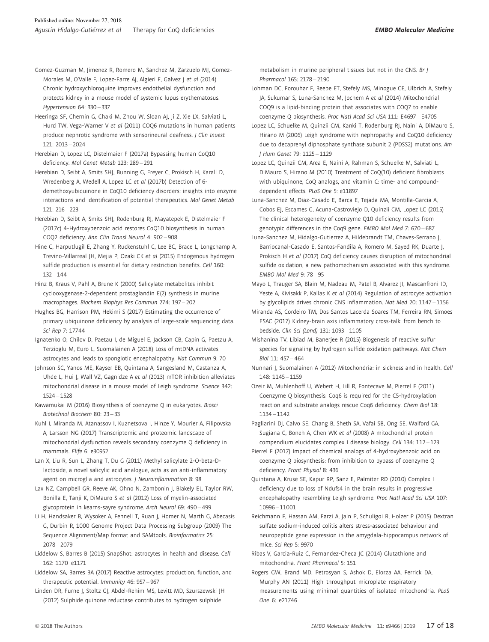- Gomez-Guzman M, Jimenez R, Romero M, Sanchez M, Zarzuelo MJ, Gomez-Morales M, O'Valle F, Lopez-Farre AI, Algieri F, Galvez J et al (2014) Chronic hydroxychloroquine improves endothelial dysfunction and protects kidney in a mouse model of systemic lupus erythematosus. Hypertension 64: 330 – 337
- Heeringa SF, Chernin G, Chaki M, Zhou W, Sloan AJ, Ji Z, Xie LX, Salviati L, Hurd TW, Vega-Warner V et al (2011) COQ6 mutations in human patients produce nephrotic syndrome with sensorineural deafness. *J Clin Invest*  $121 \cdot 2013 - 2024$
- Herebian D, Lopez LC, Distelmaier F (2017a) Bypassing human CoQ10 deficiency. Mol Genet Metab 123: 289 – 291
- Herebian D, Seibt A, Smits SHJ, Bunning G, Freyer C, Prokisch H, Karall D, Wredenberg A, Wedell A, Lopez LC et al (2017b) Detection of 6 demethoxyubiquinone in CoQ10 deficiency disorders: insights into enzyme interactions and identification of potential therapeutics. Mol Genet Metab 121: 216 – 223
- Herebian D, Seibt A, Smits SHJ, Rodenburg RJ, Mayatepek E, Distelmaier F (2017c) 4-Hydroxybenzoic acid restores CoQ10 biosynthesis in human COQ2 deficiency. Ann Clin Transl Neurol 4: 902 – 908
- Hine C, Harputlugil E, Zhang Y, Ruckenstuhl C, Lee BC, Brace L, Longchamp A, Trevino-Villarreal JH, Mejia P, Ozaki CK et al (2015) Endogenous hydrogen sulfide production is essential for dietary restriction benefits. Cell 160:  $132 - 144$
- Hinz B, Kraus V, Pahl A, Brune K (2000) Salicylate metabolites inhibit cyclooxygenase-2-dependent prostaglandin E(2) synthesis in murine macrophages. Biochem Biophys Res Commun 274: 197 – 202
- Hughes BG, Harrison PM, Hekimi S (2017) Estimating the occurrence of primary ubiquinone deficiency by analysis of large-scale sequencing data. Sci Rep 7: 17744
- Ignatenko O, Chilov D, Paetau I, de Miguel E, Jackson CB, Capin G, Paetau A, Terzioglu M, Euro L, Suomalainen A (2018) Loss of mtDNA activates astrocytes and leads to spongiotic encephalopathy. Nat Commun 9: 70
- Johnson SC, Yanos ME, Kayser EB, Quintana A, Sangesland M, Castanza A, Uhde L, Hui J, Wall VZ, Gagnidze A et al (2013) mTOR inhibition alleviates mitochondrial disease in a mouse model of Leigh syndrome. Science 342: 1524 – 1528
- Kawamukai M (2016) Biosynthesis of coenzyme Q in eukaryotes. Biosci Biotechnol Biochem 80: 23 – 33
- Kuhl I, Miranda M, Atanassov I, Kuznetsova I, Hinze Y, Mourier A, Filipovska A, Larsson NG (2017) Transcriptomic and proteomic landscape of mitochondrial dysfunction reveals secondary coenzyme Q deficiency in mammals. Elife 6: e30952
- Lan X, Liu R, Sun L, Zhang T, Du G (2011) Methyl salicylate 2-O-beta-Dlactoside, a novel salicylic acid analogue, acts as an anti-inflammatory agent on microglia and astrocytes. *J Neuroinflammation* 8: 98
- Lax NZ, Campbell GR, Reeve AK, Ohno N, Zambonin J, Blakely EL, Taylor RW, Bonilla E, Tanji K, DiMauro S et al (2012) Loss of myelin-associated glycoprotein in kearns-sayre syndrome. Arch Neurol 69: 490 – 499
- Li H, Handsaker B, Wysoker A, Fennell T, Ruan J, Homer N, Marth G, Abecasis G, Durbin R, 1000 Genome Project Data Processing Subgroup (2009) The Sequence Alignment/Map format and SAMtools. Bioinformatics 25: 2078 – 2079
- Liddelow S, Barres B (2015) SnapShot: astrocytes in health and disease. Cell 162: 1170 e1171
- Liddelow SA, Barres BA (2017) Reactive astrocytes: production, function, and therapeutic potential. Immunity 46: 957 – 967
- Linden DR, Furne J, Stoltz GJ, Abdel-Rehim MS, Levitt MD, Szurszewski JH (2012) Sulphide quinone reductase contributes to hydrogen sulphide

metabolism in murine peripheral tissues but not in the CNS. Br J Pharmacol 165: 2178 – 2190

- Lohman DC, Forouhar F, Beebe ET, Stefely MS, Minogue CE, Ulbrich A, Stefely JA, Sukumar S, Luna-Sanchez M, Jochem A et al (2014) Mitochondrial COQ9 is a lipid-binding protein that associates with COQ7 to enable coenzyme Q biosynthesis. Proc Natl Acad Sci USA 111: E4697 – E4705
- Lopez LC, Schuelke M, Quinzii CM, Kanki T, Rodenburg RJ, Naini A, DiMauro S, Hirano M (2006) Leigh syndrome with nephropathy and CoQ10 deficiency due to decaprenyl diphosphate synthase subunit 2 (PDSS2) mutations. Am J Hum Genet 79: 1125 – 1129
- Lopez LC, Quinzii CM, Area E, Naini A, Rahman S, Schuelke M, Salviati L, DiMauro S, Hirano M (2010) Treatment of CoQ(10) deficient fibroblasts with ubiquinone, CoQ analogs, and vitamin C: time- and compounddependent effects. PLoS One 5: e11897
- Luna-Sanchez M, Diaz-Casado E, Barca E, Tejada MA, Montilla-Garcia A, Cobos EJ, Escames G, Acuna-Castroviejo D, Quinzii CM, Lopez LC (2015) The clinical heterogeneity of coenzyme Q10 deficiency results from genotypic differences in the Coq9 gene. EMBO Mol Med 7: 670 – 687
- Luna-Sanchez M, Hidalgo-Gutierrez A, Hildebrandt TM, Chaves-Serrano J, Barriocanal-Casado E, Santos-Fandila A, Romero M, Sayed RK, Duarte J, Prokisch H et al (2017) CoQ deficiency causes disruption of mitochondrial sulfide oxidation, a new pathomechanism associated with this syndrome. EMBO Mol Med 9: 78 – 95
- Mayo L, Trauger SA, Blain M, Nadeau M, Patel B, Alvarez JI, Mascanfroni ID, Yeste A, Kivisakk P, Kallas K et al (2014) Regulation of astrocyte activation by glycolipids drives chronic CNS inflammation. Nat Med 20: 1147 – 1156
- Miranda AS, Cordeiro TM, Dos Santos Lacerda Soares TM, Ferreira RN, Simoes ESAC (2017) Kidney-brain axis inflammatory cross-talk: from bench to bedside. Clin Sci (Lond) 131: 1093 – 1105
- Mishanina TV, Libiad M, Banerjee R (2015) Biogenesis of reactive sulfur species for signaling by hydrogen sulfide oxidation pathways. Nat Chem  $Riol$  11: 457 – 464
- Nunnari J, Suomalainen A (2012) Mitochondria: in sickness and in health. Cell 148: 1145 – 1159
- Ozeir M, Muhlenhoff U, Webert H, Lill R, Fontecave M, Pierrel F (2011) Coenzyme Q biosynthesis: Coq6 is required for the C5-hydroxylation reaction and substrate analogs rescue Coq6 deficiency. Chem Biol 18: 1134 – 1142
- Pagliarini DJ, Calvo SE, Chang B, Sheth SA, Vafai SB, Ong SE, Walford GA, Sugiana C, Boneh A, Chen WK et al (2008) A mitochondrial protein compendium elucidates complex I disease biology. Cell 134: 112 – 123
- Pierrel F (2017) Impact of chemical analogs of 4-hydroxybenzoic acid on coenzyme Q biosynthesis: from inhibition to bypass of coenzyme Q deficiency. Front Physiol 8: 436
- Quintana A, Kruse SE, Kapur RP, Sanz E, Palmiter RD (2010) Complex I deficiency due to loss of Ndufs4 in the brain results in progressive encephalopathy resembling Leigh syndrome. Proc Natl Acad Sci USA 107: 10996 – 11001
- Reichmann F, Hassan AM, Farzi A, Jain P, Schuligoi R, Holzer P (2015) Dextran sulfate sodium-induced colitis alters stress-associated behaviour and neuropeptide gene expression in the amygdala-hippocampus network of mice. Sci Rep 5: 9970
- Ribas V, Garcia-Ruiz C, Fernandez-Checa JC (2014) Glutathione and mitochondria. Front Pharmacol 5: 151
- Rogers GW, Brand MD, Petrosyan S, Ashok D, Elorza AA, Ferrick DA, Murphy AN (2011) High throughput microplate respiratory measurements using minimal quantities of isolated mitochondria. PLoS One 6: e21746